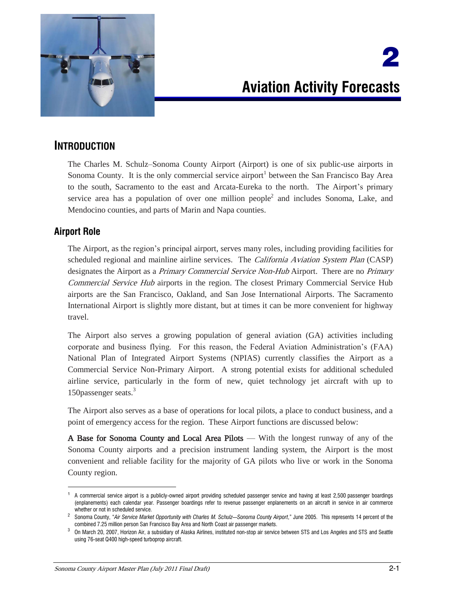

# 2 **Aviation Activity Forecasts**

# **INTRODUCTION**

The Charles M. Schulz–Sonoma County Airport (Airport) is one of six public-use airports in Sonoma County. It is the only commercial service airport<sup>1</sup> between the San Francisco Bay Area to the south, Sacramento to the east and Arcata-Eureka to the north. The Airport's primary service area has a population of over one million people<sup>2</sup> and includes Sonoma, Lake, and Mendocino counties, and parts of Marin and Napa counties.

# **Airport Role**

 $\overline{a}$ 

The Airport, as the region's principal airport, serves many roles, including providing facilities for scheduled regional and mainline airline services. The *California Aviation System Plan* (CASP) designates the Airport as a *Primary Commercial Service Non-Hub* Airport. There are no *Primary* Commercial Service Hub airports in the region. The closest Primary Commercial Service Hub airports are the San Francisco, Oakland, and San Jose International Airports. The Sacramento International Airport is slightly more distant, but at times it can be more convenient for highway travel.

The Airport also serves a growing population of general aviation (GA) activities including corporate and business flying. For this reason, the Federal Aviation Administration's (FAA) National Plan of Integrated Airport Systems (NPIAS) currently classifies the Airport as a Commercial Service Non-Primary Airport. A strong potential exists for additional scheduled airline service, particularly in the form of new, quiet technology jet aircraft with up to 150passenger seats.<sup>3</sup>

The Airport also serves as a base of operations for local pilots, a place to conduct business, and a point of emergency access for the region. These Airport functions are discussed below:

A Base for Sonoma County and Local Area Pilots — With the longest runway of any of the Sonoma County airports and a precision instrument landing system, the Airport is the most convenient and reliable facility for the majority of GA pilots who live or work in the Sonoma County region.

<sup>&</sup>lt;sup>1</sup> A commercial service airport is a publicly-owned airport providing scheduled passenger service and having at least 2,500 passenger boardings (enplanements) each calendar year. Passenger boardings refer to revenue passenger enplanements on an aircraft in service in air commerce whether or not in scheduled service.

<sup>2</sup> Sonoma County, "*Air Service Market Opportunity with Charles M. Schulz—Sonoma County Airport*," June 2005. This represents 14 percent of the combined 7.25 million person San Francisco Bay Area and North Coast air passenger markets.

 $^3$  On March 20, 2007, Horizon Air, a subsidiary of Alaska Airlines, instituted non-stop air service between STS and Los Angeles and STS and Seattle using 76-seat Q400 high-speed turboprop aircraft.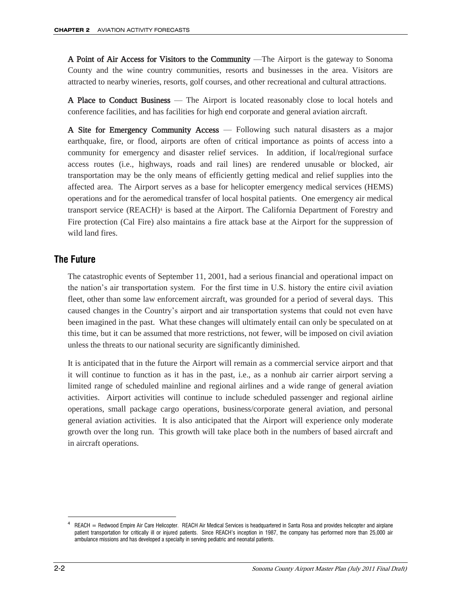A Point of Air Access for Visitors to the Community —The Airport is the gateway to Sonoma County and the wine country communities, resorts and businesses in the area. Visitors are attracted to nearby wineries, resorts, golf courses, and other recreational and cultural attractions.

A Place to Conduct Business — The Airport is located reasonably close to local hotels and conference facilities, and has facilities for high end corporate and general aviation aircraft.

A Site for Emergency Community Access — Following such natural disasters as a major earthquake, fire, or flood, airports are often of critical importance as points of access into a community for emergency and disaster relief services. In addition, if local/regional surface access routes (i.e., highways, roads and rail lines) are rendered unusable or blocked, air transportation may be the only means of efficiently getting medical and relief supplies into the affected area. The Airport serves as a base for helicopter emergency medical services (HEMS) operations and for the aeromedical transfer of local hospital patients. One emergency air medical transport service (REACH)<sup>4</sup> is based at the Airport. The California Department of Forestry and Fire protection (Cal Fire) also maintains a fire attack base at the Airport for the suppression of wild land fires.

## **The Future**

The catastrophic events of September 11, 2001, had a serious financial and operational impact on the nation's air transportation system. For the first time in U.S. history the entire civil aviation fleet, other than some law enforcement aircraft, was grounded for a period of several days. This caused changes in the Country's airport and air transportation systems that could not even have been imagined in the past. What these changes will ultimately entail can only be speculated on at this time, but it can be assumed that more restrictions, not fewer, will be imposed on civil aviation unless the threats to our national security are significantly diminished.

It is anticipated that in the future the Airport will remain as a commercial service airport and that it will continue to function as it has in the past, i.e., as a nonhub air carrier airport serving a limited range of scheduled mainline and regional airlines and a wide range of general aviation activities. Airport activities will continue to include scheduled passenger and regional airline operations, small package cargo operations, business/corporate general aviation, and personal general aviation activities. It is also anticipated that the Airport will experience only moderate growth over the long run. This growth will take place both in the numbers of based aircraft and in aircraft operations.

<sup>4</sup> REACH = Redwood Empire Air Care Helicopter. REACH Air Medical Services is headquartered in Santa Rosa and provides helicopter and airplane patient transportation for critically ill or injured patients. Since REACH's inception in 1987, the company has performed more than 25,000 air ambulance missions and has developed a specialty in serving pediatric and neonatal patients.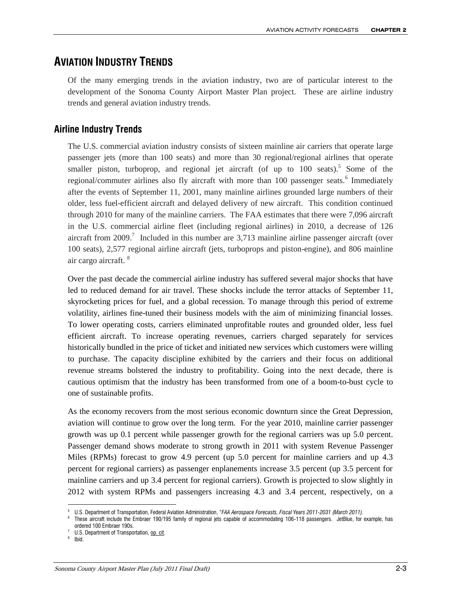# **AVIATION INDUSTRY TRENDS**

Of the many emerging trends in the aviation industry, two are of particular interest to the development of the Sonoma County Airport Master Plan project. These are airline industry trends and general aviation industry trends.

# **Airline Industry Trends**

The U.S. commercial aviation industry consists of sixteen mainline air carriers that operate large passenger jets (more than 100 seats) and more than 30 regional/regional airlines that operate smaller piston, turboprop, and regional jet aircraft (of up to  $100$  seats).<sup>5</sup> Some of the regional/commuter airlines also fly aircraft with more than 100 passenger seats.<sup>6</sup> Immediately after the events of September 11, 2001, many mainline airlines grounded large numbers of their older, less fuel-efficient aircraft and delayed delivery of new aircraft. This condition continued through 2010 for many of the mainline carriers. The FAA estimates that there were 7,096 aircraft in the U.S. commercial airline fleet (including regional airlines) in 2010, a decrease of 126 aircraft from 2009.<sup>7</sup> Included in this number are 3,713 mainline airline passenger aircraft (over 100 seats), 2,577 regional airline aircraft (jets, turboprops and piston-engine), and 806 mainline air cargo aircraft. <sup>8</sup>

Over the past decade the commercial airline industry has suffered several major shocks that have led to reduced demand for air travel. These shocks include the terror attacks of September 11, skyrocketing prices for fuel, and a global recession. To manage through this period of extreme volatility, airlines fine-tuned their business models with the aim of minimizing financial losses. To lower operating costs, carriers eliminated unprofitable routes and grounded older, less fuel efficient aircraft. To increase operating revenues, carriers charged separately for services historically bundled in the price of ticket and initiated new services which customers were willing to purchase. The capacity discipline exhibited by the carriers and their focus on additional revenue streams bolstered the industry to profitability. Going into the next decade, there is cautious optimism that the industry has been transformed from one of a boom-to-bust cycle to one of sustainable profits.

As the economy recovers from the most serious economic downturn since the Great Depression, aviation will continue to grow over the long term. For the year 2010, mainline carrier passenger growth was up 0.1 percent while passenger growth for the regional carriers was up 5.0 percent. Passenger demand shows moderate to strong growth in 2011 with system Revenue Passenger Miles (RPMs) forecast to grow 4.9 percent (up 5.0 percent for mainline carriers and up 4.3 percent for regional carriers) as passenger enplanements increase 3.5 percent (up 3.5 percent for mainline carriers and up 3.4 percent for regional carriers). Growth is projected to slow slightly in 2012 with system RPMs and passengers increasing 4.3 and 3.4 percent, respectively, on a

<sup>5</sup> U.S. Department of Transportation, Federal Aviation Administration, "*FAA Aerospace Forecasts, Fiscal Years 2011-2031 (March 2011)*.

<sup>6</sup> These aircraft include the Embraer 190/195 family of regional jets capable of accommodating 106-118 passengers. JetBlue, for example, has ordered 100 Embraer 190s.

<sup>7</sup> U.S. Department of Transportation, op. cit.

<sup>&</sup>lt;sup>8</sup> Ibid.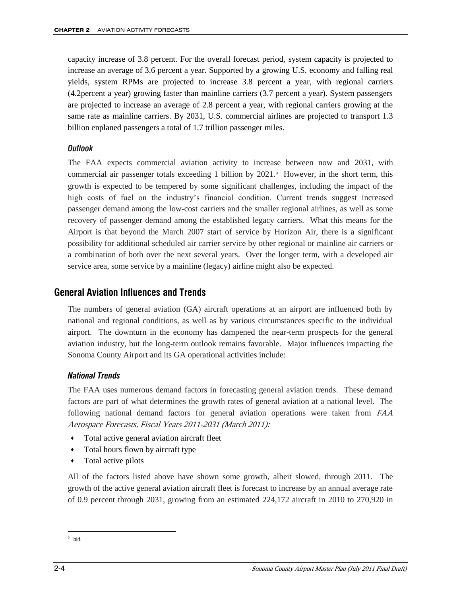capacity increase of 3.8 percent. For the overall forecast period, system capacity is projected to increase an average of 3.6 percent a year. Supported by a growing U.S. economy and falling real yields, system RPMs are projected to increase 3.8 percent a year, with regional carriers (4.2percent a year) growing faster than mainline carriers (3.7 percent a year). System passengers are projected to increase an average of 2.8 percent a year, with regional carriers growing at the same rate as mainline carriers. By 2031, U.S. commercial airlines are projected to transport 1.3 billion enplaned passengers a total of 1.7 trillion passenger miles.

#### *Outlook*

The FAA expects commercial aviation activity to increase between now and 2031, with commercial air passenger totals exceeding 1 billion by 2021.<sup>9</sup> However, in the short term, this growth is expected to be tempered by some significant challenges, including the impact of the high costs of fuel on the industry's financial condition. Current trends suggest increased passenger demand among the low-cost carriers and the smaller regional airlines, as well as some recovery of passenger demand among the established legacy carriers. What this means for the Airport is that beyond the March 2007 start of service by Horizon Air, there is a significant possibility for additional scheduled air carrier service by other regional or mainline air carriers or a combination of both over the next several years. Over the longer term, with a developed air service area, some service by a mainline (legacy) airline might also be expected.

## **General Aviation Influences and Trends**

The numbers of general aviation (GA) aircraft operations at an airport are influenced both by national and regional conditions, as well as by various circumstances specific to the individual airport. The downturn in the economy has dampened the near-term prospects for the general aviation industry, but the long-term outlook remains favorable. Major influences impacting the Sonoma County Airport and its GA operational activities include:

#### *National Trends*

The FAA uses numerous demand factors in forecasting general aviation trends. These demand factors are part of what determines the growth rates of general aviation at a national level. The following national demand factors for general aviation operations were taken from FAA Aerospace Forecasts, Fiscal Years 2011-2031 (March 2011):

- Total active general aviation aircraft fleet
- Total hours flown by aircraft type
- Total active pilots

All of the factors listed above have shown some growth, albeit slowed, through 2011. The growth of the active general aviation aircraft fleet is forecast to increase by an annual average rate of 0.9 percent through 2031, growing from an estimated 224,172 aircraft in 2010 to 270,920 in

9 Ibid.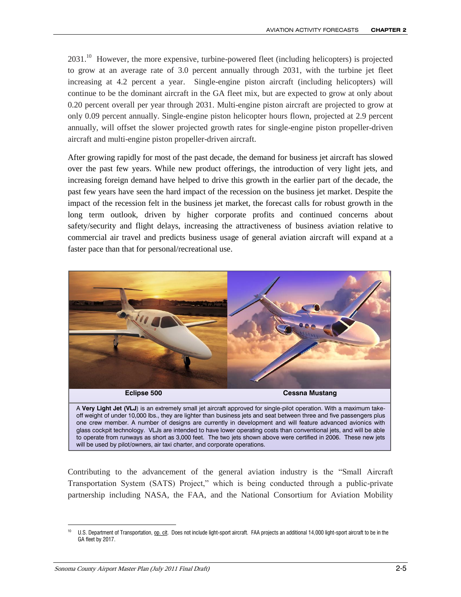$2031<sup>10</sup>$  However, the more expensive, turbine-powered fleet (including helicopters) is projected to grow at an average rate of 3.0 percent annually through 2031, with the turbine jet fleet increasing at 4.2 percent a year. Single-engine piston aircraft (including helicopters) will continue to be the dominant aircraft in the GA fleet mix, but are expected to grow at only about 0.20 percent overall per year through 2031. Multi-engine piston aircraft are projected to grow at only 0.09 percent annually. Single-engine piston helicopter hours flown, projected at 2.9 percent annually, will offset the slower projected growth rates for single-engine piston propeller-driven aircraft and multi-engine piston propeller-driven aircraft.

After growing rapidly for most of the past decade, the demand for business jet aircraft has slowed over the past few years. While new product offerings, the introduction of very light jets, and increasing foreign demand have helped to drive this growth in the earlier part of the decade, the past few years have seen the hard impact of the recession on the business jet market. Despite the impact of the recession felt in the business jet market, the forecast calls for robust growth in the long term outlook, driven by higher corporate profits and continued concerns about safety/security and flight delays, increasing the attractiveness of business aviation relative to commercial air travel and predicts business usage of general aviation aircraft will expand at a faster pace than that for personal/recreational use.



A **Very Light Jet (VLJ**) is an extremely small jet aircraft approved for single-pilot operation. With a maximum takeoff weight of under 10,000 lbs., they are lighter than business jets and seat between three and five passengers plus one crew member. A number of designs are currently in development and will feature advanced avionics with glass cockpit technology. VLJs are intended to have lower operating costs than conventional jets, and will be able to operate from runways as short as 3,000 feet. The two jets shown above were certified in 2006. These new jets will be used by pilot/owners, air taxi charter, and corporate operations.

Contributing to the advancement of the general aviation industry is the "Small Aircraft Transportation System (SATS) Project," which is being conducted through a public-private partnership including NASA, the FAA, and the National Consortium for Aviation Mobility

 $\overline{a}$ 10 U.S. Department of Transportation, op. cit. Does not include light-sport aircraft. FAA projects an additional 14,000 light-sport aircraft to be in the GA fleet by 2017.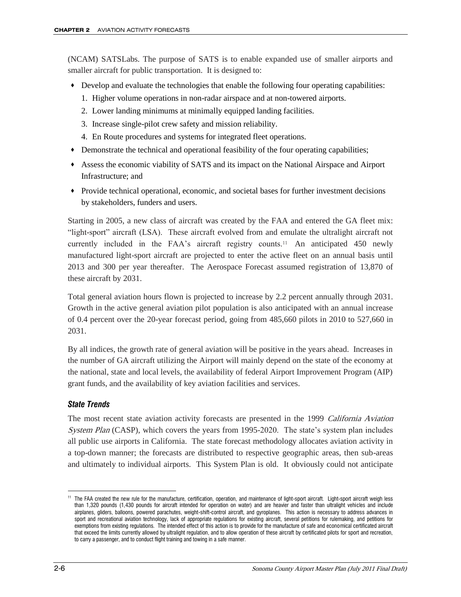(NCAM) SATSLabs. The purpose of SATS is to enable expanded use of smaller airports and smaller aircraft for public transportation. It is designed to:

- Develop and evaluate the technologies that enable the following four operating capabilities:
	- 1. Higher volume operations in non-radar airspace and at non-towered airports.
	- 2. Lower landing minimums at minimally equipped landing facilities.
	- 3. Increase single-pilot crew safety and mission reliability.
	- 4. En Route procedures and systems for integrated fleet operations.
- Demonstrate the technical and operational feasibility of the four operating capabilities;
- Assess the economic viability of SATS and its impact on the National Airspace and Airport Infrastructure; and
- Provide technical operational, economic, and societal bases for further investment decisions by stakeholders, funders and users.

Starting in 2005, a new class of aircraft was created by the FAA and entered the GA fleet mix: ―light-sport‖ aircraft (LSA). These aircraft evolved from and emulate the ultralight aircraft not currently included in the FAA's aircraft registry counts.<sup>11</sup> An anticipated 450 newly manufactured light-sport aircraft are projected to enter the active fleet on an annual basis until 2013 and 300 per year thereafter. The Aerospace Forecast assumed registration of 13,870 of these aircraft by 2031.

Total general aviation hours flown is projected to increase by 2.2 percent annually through 2031. Growth in the active general aviation pilot population is also anticipated with an annual increase of 0.4 percent over the 20-year forecast period, going from 485,660 pilots in 2010 to 527,660 in 2031.

By all indices, the growth rate of general aviation will be positive in the years ahead. Increases in the number of GA aircraft utilizing the Airport will mainly depend on the state of the economy at the national, state and local levels, the availability of federal Airport Improvement Program (AIP) grant funds, and the availability of key aviation facilities and services.

#### *State Trends*

The most recent state aviation activity forecasts are presented in the 1999 California Aviation System Plan (CASP), which covers the years from 1995-2020. The state's system plan includes all public use airports in California. The state forecast methodology allocates aviation activity in a top-down manner; the forecasts are distributed to respective geographic areas, then sub-areas and ultimately to individual airports. This System Plan is old. It obviously could not anticipate

 $\overline{a}$ <sup>11</sup> The FAA created the new rule for the manufacture, certification, operation, and maintenance of light-sport aircraft. Light-sport aircraft weigh less than 1,320 pounds (1,430 pounds for aircraft intended for operation on water) and are heavier and faster than ultralight vehicles and include airplanes, gliders, balloons, powered parachutes, weight-shift-control aircraft, and gyroplanes. This action is necessary to address advances in sport and recreational aviation technology, lack of appropriate regulations for existing aircraft, several petitions for rulemaking, and petitions for exemptions from existing regulations. The intended effect of this action is to provide for the manufacture of safe and economical certificated aircraft that exceed the limits currently allowed by ultralight regulation, and to allow operation of these aircraft by certificated pilots for sport and recreation, to carry a passenger, and to conduct flight training and towing in a safe manner.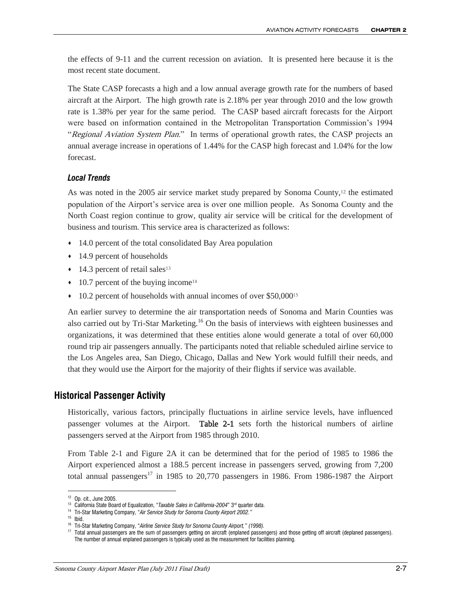the effects of 9-11 and the current recession on aviation. It is presented here because it is the most recent state document.

The State CASP forecasts a high and a low annual average growth rate for the numbers of based aircraft at the Airport. The high growth rate is 2.18% per year through 2010 and the low growth rate is 1.38% per year for the same period. The CASP based aircraft forecasts for the Airport were based on information contained in the Metropolitan Transportation Commission's 1994 "Regional Aviation System Plan." In terms of operational growth rates, the CASP projects an annual average increase in operations of 1.44% for the CASP high forecast and 1.04% for the low forecast.

#### *Local Trends*

As was noted in the 2005 air service market study prepared by Sonoma County,12 the estimated population of the Airport's service area is over one million people. As Sonoma County and the North Coast region continue to grow, quality air service will be critical for the development of business and tourism. This service area is characterized as follows:

- 14.0 percent of the total consolidated Bay Area population
- ◆ 14.9 percent of households
- $\cdot$  14.3 percent of retail sales<sup>13</sup>
- $\cdot$  10.7 percent of the buying income<sup>14</sup>
- $\cdot$  10.2 percent of households with annual incomes of over \$50,000<sup>15</sup>

An earlier survey to determine the air transportation needs of Sonoma and Marin Counties was also carried out by Tri-Star Marketing.<sup>16</sup> On the basis of interviews with eighteen businesses and organizations, it was determined that these entities alone would generate a total of over 60,000 round trip air passengers annually. The participants noted that reliable scheduled airline service to the Los Angeles area, San Diego, Chicago, Dallas and New York would fulfill their needs, and that they would use the Airport for the majority of their flights if service was available.

## **Historical Passenger Activity**

Historically, various factors, principally fluctuations in airline service levels, have influenced passenger volumes at the Airport. Table 2-1 sets forth the historical numbers of airline passengers served at the Airport from 1985 through 2010.

From Table 2-1 and Figure 2A it can be determined that for the period of 1985 to 1986 the Airport experienced almost a 188.5 percent increase in passengers served, growing from 7,200 total annual passengers<sup>17</sup> in 1985 to 20,770 passengers in 1986. From 1986-1987 the Airport

<sup>12</sup> Op. cit., June 2005.

<sup>&</sup>lt;sup>13</sup> California State Board of Equalization, "Taxable Sales in California-2004" 3<sup>rd</sup> quarter data.

<sup>14</sup> Tri-Star Marketing Company, "*Air Service Study for Sonoma County Airport 2002."*

<sup>15</sup> Ibid.

<sup>16</sup> Tri-Star Marketing Company, "*Airline Service Study for Sonoma County Airport," (1998).*

<sup>&</sup>lt;sup>17</sup> Total annual passengers are the sum of passengers getting on aircraft (enplaned passengers) and those getting off aircraft (deplaned passengers). The number of annual enplaned passengers is typically used as the measurement for facilities planning.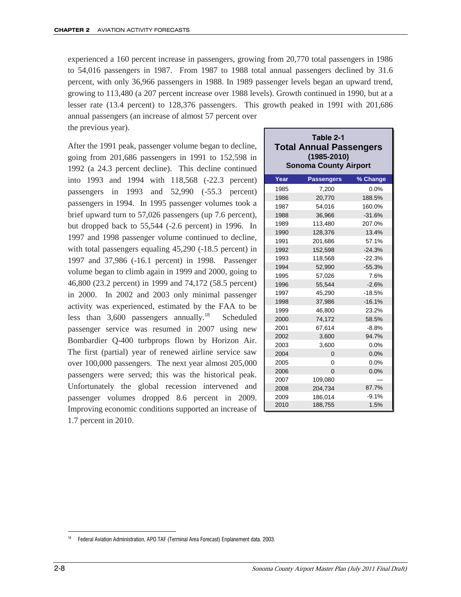experienced a 160 percent increase in passengers, growing from 20,770 total passengers in 1986 to 54,016 passengers in 1987. From 1987 to 1988 total annual passengers declined by 31.6 percent, with only 36,966 passengers in 1988. In 1989 passenger levels began an upward trend, growing to 113,480 (a 207 percent increase over 1988 levels). Growth continued in 1990, but at a lesser rate (13.4 percent) to 128,376 passengers. This growth peaked in 1991 with 201,686 annual passengers (an increase of almost 57 percent over

the previous year).

After the 1991 peak, passenger volume began to decline, going from 201,686 passengers in 1991 to 152,598 in 1992 (a 24.3 percent decline). This decline continued into 1993 and 1994 with 118,568 (-22.3 percent) passengers in 1993 and 52,990 (-55.3 percent) passengers in 1994. In 1995 passenger volumes took a brief upward turn to 57,026 passengers (up 7.6 percent), but dropped back to 55,544 (-2.6 percent) in 1996. In 1997 and 1998 passenger volume continued to decline, with total passengers equaling 45,290 (-18.5 percent) in 1997 and 37,986 (-16.1 percent) in 1998. Passenger volume began to climb again in 1999 and 2000, going to 46,800 (23.2 percent) in 1999 and 74,172 (58.5 percent) in 2000. In 2002 and 2003 only minimal passenger activity was experienced, estimated by the FAA to be less than  $3,600$  passengers annually.<sup>18</sup> Scheduled passenger service was resumed in 2007 using new Bombardier Q-400 turbprops flown by Horizon Air. The first (partial) year of renewed airline service saw over 100,000 passengers. The next year almost 205,000 passengers were served; this was the historical peak. Unfortunately the global recession intervened and passenger volumes dropped 8.6 percent in 2009. Improving economic conditions supported an increase of 1.7 percent in 2010.

| Table 2-1                      |
|--------------------------------|
| <b>Total Annual Passengers</b> |
| $(1985 - 2010)$                |
| <b>Sonoma County Airport</b>   |

| Year | <b>Passengers</b> | % Change |
|------|-------------------|----------|
| 1985 | 7,200             | 0.0%     |
| 1986 | 20,770            | 188.5%   |
| 1987 | 54,016            | 160.0%   |
| 1988 | 36.966            | $-31.6%$ |
| 1989 | 113,480           | 207.0%   |
| 1990 | 128,376           | 13.4%    |
| 1991 | 201,686           | 57.1%    |
| 1992 | 152,598           | $-24.3%$ |
| 1993 | 118,568           | $-22.3%$ |
| 1994 | 52.990            | $-55.3%$ |
| 1995 | 57,026            | 7.6%     |
| 1996 | 55,544            | $-2.6%$  |
| 1997 | 45,290            | $-18.5%$ |
| 1998 | 37,986            | $-16.1%$ |
| 1999 | 46,800            | 23.2%    |
| 2000 | 74,172            | 58.5%    |
| 2001 | 67,614            | $-8.8%$  |
| 2002 | 3,600             | 94.7%    |
| 2003 | 3,600             | 0.0%     |
| 2004 | $\Omega$          | 0.0%     |
| 2005 | $\Omega$          | 0.0%     |
| 2006 | $\Omega$          | 0.0%     |
| 2007 | 109,080           |          |
| 2008 | 204,734           | 87.7%    |
| 2009 | 186.014           | $-9.1%$  |
| 2010 | 188,755           | 1.5%     |

 $\overline{a}$ <sup>18</sup> Federal Aviation Administration, APO TAF (Terminal Area Forecast) Enplanement data. 2003.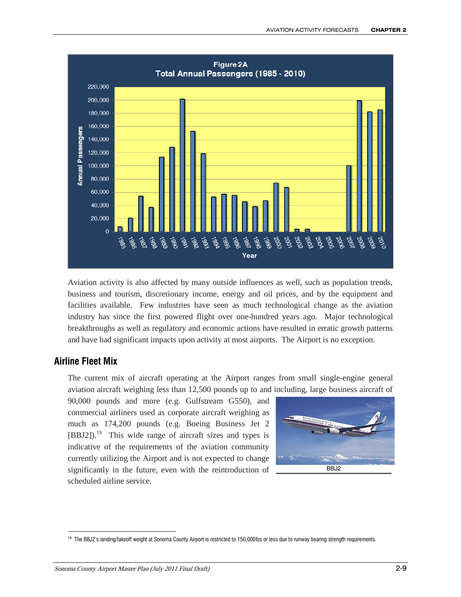

Aviation activity is also affected by many outside influences as well, such as population trends, business and tourism, discretionary income, energy and oil prices, and by the equipment and facilities available. Few industries have seen as much technological change as the aviation industry has since the first powered flight over one-hundred years ago. Major technological breakthroughs as well as regulatory and economic actions have resulted in erratic growth patterns and have had significant impacts upon activity at most airports. The Airport is no exception.

## **Airline Fleet Mix**

 $\overline{a}$ 

The current mix of aircraft operating at the Airport ranges from small single-engine general aviation aircraft weighing less than 12,500 pounds up to and including, large business aircraft of

90,000 pounds and more (e.g. Gulfstream G550), and commercial airliners used as corporate aircraft weighing as much as 174,200 pounds (e.g. Boeing Business Jet 2 [BBJ2]).<sup>19</sup> This wide range of aircraft sizes and types is indicative of the requirements of the aviation community currently utilizing the Airport and is not expected to change significantly in the future, even with the reintroduction of scheduled airline service.



<sup>19</sup> The BBJ2's landing/takeoff weight at Sonoma County Airport is restricted to 150,000lbs or less due to runway bearing strength requirements.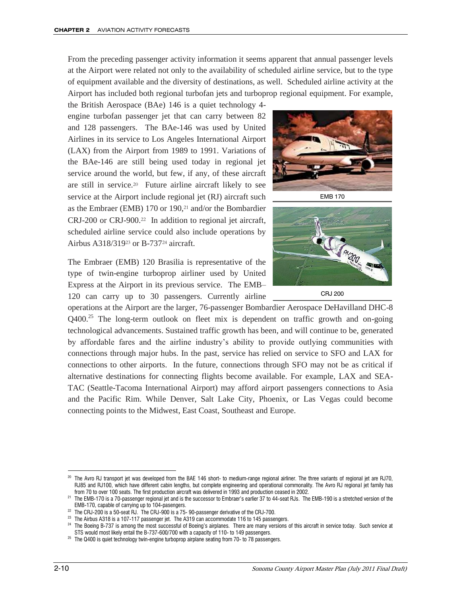From the preceding passenger activity information it seems apparent that annual passenger levels at the Airport were related not only to the availability of scheduled airline service, but to the type of equipment available and the diversity of destinations, as well. Scheduled airline activity at the Airport has included both regional turbofan jets and turboprop regional equipment. For example,

the British Aerospace (BAe) 146 is a quiet technology 4 engine turbofan passenger jet that can carry between 82 and 128 passengers. The BAe-146 was used by United Airlines in its service to Los Angeles International Airport (LAX) from the Airport from 1989 to 1991. Variations of the BAe-146 are still being used today in regional jet service around the world, but few, if any, of these aircraft are still in service.<sup>20</sup> Future airline aircraft likely to see service at the Airport include regional jet (RJ) aircraft such as the Embraer (EMB) 170 or 190,21 and/or the Bombardier CRJ-200 or CRJ-900.22 In addition to regional jet aircraft, scheduled airline service could also include operations by Airbus A318/319<sup>23</sup> or B-73724 aircraft.

The Embraer (EMB) 120 Brasilia is representative of the type of twin-engine turboprop airliner used by United Express at the Airport in its previous service. The EMB– 120 can carry up to 30 passengers. Currently airline



EMB 170



operations at the Airport are the larger, 76-passenger Bombardier Aerospace DeHavilland DHC-8  $Q400<sup>25</sup>$  The long-term outlook on fleet mix is dependent on traffic growth and on-going technological advancements. Sustained traffic growth has been, and will continue to be, generated by affordable fares and the airline industry's ability to provide outlying communities with connections through major hubs. In the past, service has relied on service to SFO and LAX for connections to other airports. In the future, connections through SFO may not be as critical if alternative destinations for connecting flights become available. For example, LAX and SEA-TAC (Seattle-Tacoma International Airport) may afford airport passengers connections to Asia and the Pacific Rim. While Denver, Salt Lake City, Phoenix, or Las Vegas could become connecting points to the Midwest, East Coast, Southeast and Europe.

<sup>&</sup>lt;sup>20</sup> The Avro RJ transport jet was developed from the BAE 146 short- to medium-range regional airliner. The three variants of regional jet are RJ70, RJ85 and RJ100, which have different cabin lengths, but complete engineering and operational commonality. The Avro RJ regional jet family has from 70 to over 100 seats. The first production aircraft was delivered in 1993 and production ceased in 2002.

<sup>&</sup>lt;sup>21</sup> The EMB-170 is a 70-passenger regional jet and is the successor to Embraer's earlier 37 to 44-seat RJs. The EMB-190 is a stretched version of the EMB-170, capable of carrying up to 104-pasengers.

 $22$  The CRJ-200 is a 50-seat RJ. The CRJ-900 is a 75-90-passenger derivative of the CRJ-700.

 $23$  The Airbus A318 is a 107-117 passenger jet. The A319 can accommodate 116 to 145 passengers.

<sup>&</sup>lt;sup>24</sup> The Boeing B-737 is among the most successful of Boeing's airplanes. There are many versions of this aircraft in service today. Such service at STS would most likely entail the B-737-600/700 with a capacity of 110- to 149 passengers.

 $25$  The Q400 is quiet technology twin-engine turboprop airplane seating from 70- to 78 passengers.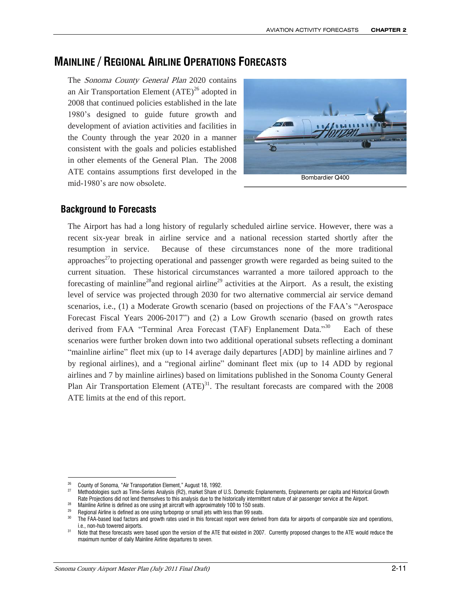# **MAINLINE / REGIONAL AIRLINE OPERATIONS FORECASTS**

The Sonoma County General Plan 2020 contains an Air Transportation Element  $(ATE)^{26}$  adopted in 2008 that continued policies established in the late 1980's designed to guide future growth and development of aviation activities and facilities in the County through the year 2020 in a manner consistent with the goals and policies established in other elements of the General Plan. The 2008 ATE contains assumptions first developed in the mid-1980's are now obsolete.



## **Background to Forecasts**

The Airport has had a long history of regularly scheduled airline service. However, there was a recent six-year break in airline service and a national recession started shortly after the resumption in service. Because of these circumstances none of the more traditional approaches<sup>27</sup>to projecting operational and passenger growth were regarded as being suited to the current situation. These historical circumstances warranted a more tailored approach to the forecasting of mainline<sup>28</sup> and regional airline<sup>29</sup> activities at the Airport. As a result, the existing level of service was projected through 2030 for two alternative commercial air service demand scenarios, i.e., (1) a Moderate Growth scenario (based on projections of the FAA's "Aerospace Forecast Fiscal Years 2006-2017") and (2) a Low Growth scenario (based on growth rates derived from FAA "Terminal Area Forecast (TAF) Enplanement Data."<sup>30</sup> Each of these scenarios were further broken down into two additional operational subsets reflecting a dominant "mainline airline" fleet mix (up to 14 average daily departures [ADD] by mainline airlines and 7 by regional airlines), and a "regional airline" dominant fleet mix (up to 14 ADD by regional airlines and 7 by mainline airlines) based on limitations published in the Sonoma County General Plan Air Transportation Element  $(ATE)^{31}$ . The resultant forecasts are compared with the 2008 ATE limits at the end of this report.

 $\overline{a}$ <sup>26</sup> County of Sonoma, "Air Transportation Element," August 18, 1992.

<sup>&</sup>lt;sup>27</sup> Methodologies such as Time-Series Analysis (R2), market Share of U.S. Domestic Enplanements, Enplanements per capita and Historical Growth Rate Projections did not lend themselves to this analysis due to the historically intermittent nature of air passenger service at the Airport.

<sup>&</sup>lt;sup>28</sup> Mainline Airline is defined as one using jet aircraft with approximately 100 to 150 seats.

<sup>&</sup>lt;sup>29</sup> Regional Airline is defined as one using turboprop or small jets with less than 99 seats.<br><sup>30</sup> The EAA based load factors and grouth rates used in this facecast report were derived

The FAA-based load factors and growth rates used in this forecast report were derived from data for airports of comparable size and operations, i.e., non-hub towered airports.

<sup>&</sup>lt;sup>31</sup> Note that these forecasts were based upon the version of the ATE that existed in 2007. Currently proposed changes to the ATE would reduce the maximum number of daily Mainline Airline departures to seven.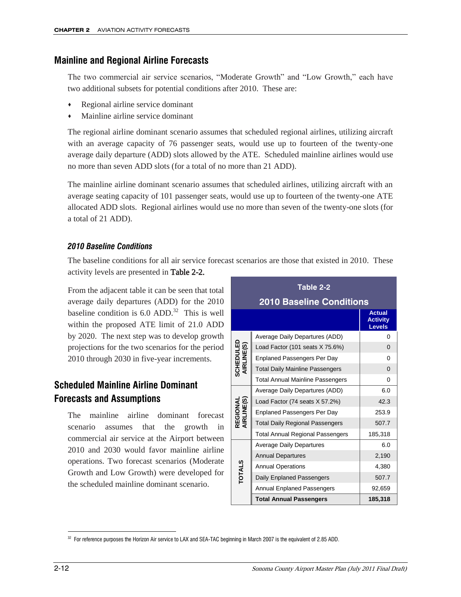## **Mainline and Regional Airline Forecasts**

The two commercial air service scenarios, "Moderate Growth" and "Low Growth," each have two additional subsets for potential conditions after 2010. These are:

- Regional airline service dominant
- Mainline airline service dominant

The regional airline dominant scenario assumes that scheduled regional airlines, utilizing aircraft with an average capacity of 76 passenger seats, would use up to fourteen of the twenty-one average daily departure (ADD) slots allowed by the ATE. Scheduled mainline airlines would use no more than seven ADD slots (for a total of no more than 21 ADD).

The mainline airline dominant scenario assumes that scheduled airlines, utilizing aircraft with an average seating capacity of 101 passenger seats, would use up to fourteen of the twenty-one ATE allocated ADD slots. Regional airlines would use no more than seven of the twenty-one slots (for a total of 21 ADD).

## *2010 Baseline Conditions*

The baseline conditions for all air service forecast scenarios are those that existed in 2010. These activity levels are presented in Table 2-2.

From the adjacent table it can be seen that total average daily departures (ADD) for the 2010 baseline condition is  $6.0$  ADD.<sup>32</sup> This is well within the proposed ATE limit of 21.0 ADD by 2020. The next step was to develop growth projections for the two scenarios for the period 2010 through 2030 in five-year increments.

# **Scheduled Mainline Airline Dominant Forecasts and Assumptions**

The mainline airline dominant forecast scenario assumes that the growth in commercial air service at the Airport between 2010 and 2030 would favor mainline airline operations. Two forecast scenarios (Moderate Growth and Low Growth) were developed for the scheduled mainline dominant scenario.

| Table 2-2               |                                         |                                                   |  |  |  |  |  |
|-------------------------|-----------------------------------------|---------------------------------------------------|--|--|--|--|--|
|                         | <b>2010 Baseline Conditions</b>         |                                                   |  |  |  |  |  |
|                         |                                         | <b>Actual</b><br><b>Activity</b><br><b>Levels</b> |  |  |  |  |  |
|                         | Average Daily Departures (ADD)          | 0                                                 |  |  |  |  |  |
|                         | Load Factor (101 seats X 75.6%)         | 0                                                 |  |  |  |  |  |
|                         | Enplaned Passengers Per Day             | 0                                                 |  |  |  |  |  |
| SCHEDULED<br>AIRLINE(S) | <b>Total Daily Mainline Passengers</b>  | 0                                                 |  |  |  |  |  |
|                         | <b>Total Annual Mainline Passengers</b> | $\Omega$                                          |  |  |  |  |  |
|                         | Average Daily Departures (ADD)          | 6.0                                               |  |  |  |  |  |
| REGIONAL<br>AIRLINE(S)  | Load Factor (74 seats X 57.2%)          | 42.3                                              |  |  |  |  |  |
|                         | <b>Enplaned Passengers Per Day</b>      | 253.9                                             |  |  |  |  |  |
|                         | <b>Total Daily Regional Passengers</b>  | 507.7                                             |  |  |  |  |  |
|                         | <b>Total Annual Regional Passengers</b> | 185,318                                           |  |  |  |  |  |
|                         | <b>Average Daily Departures</b>         | 6.0                                               |  |  |  |  |  |
|                         | <b>Annual Departures</b>                | 2,190                                             |  |  |  |  |  |
| <b>TOTALS</b>           | <b>Annual Operations</b>                | 4,380                                             |  |  |  |  |  |
|                         | Daily Enplaned Passengers               | 507.7                                             |  |  |  |  |  |
|                         | <b>Annual Enplaned Passengers</b>       | 92,659                                            |  |  |  |  |  |
|                         | <b>Total Annual Passengers</b>          | 185,318                                           |  |  |  |  |  |

 $\overline{a}$ 32 For reference purposes the Horizon Air service to LAX and SEA-TAC beginning in March 2007 is the equivalent of 2.85 ADD.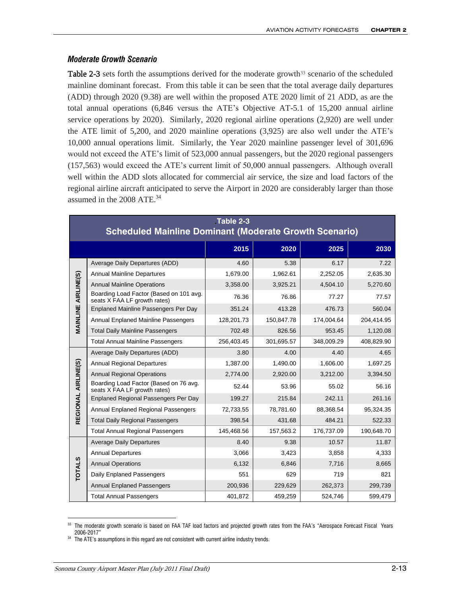#### *Moderate Growth Scenario*

**Table 2-3** sets forth the assumptions derived for the moderate growth<sup>33</sup> scenario of the scheduled mainline dominant forecast. From this table it can be seen that the total average daily departures (ADD) through 2020 (9.38) are well within the proposed ATE 2020 limit of 21 ADD, as are the total annual operations (6,846 versus the ATE's Objective AT-5.1 of 15,200 annual airline service operations by 2020). Similarly, 2020 regional airline operations (2,920) are well under the ATE limit of 5,200, and 2020 mainline operations (3,925) are also well under the ATE's 10,000 annual operations limit. Similarly, the Year 2020 mainline passenger level of 301,696 would not exceed the ATE's limit of 523,000 annual passengers, but the 2020 regional passengers (157,563) would exceed the ATE's current limit of 50,000 annual passengers. Although overall well within the ADD slots allocated for commercial air service, the size and load factors of the regional airline aircraft anticipated to serve the Airport in 2020 are considerably larger than those assumed in the 2008 ATE.<sup>34</sup>

|                            | Table 2-3<br><b>Scheduled Mainline Dominant (Moderate Growth Scenario)</b> |            |            |            |            |  |  |  |  |
|----------------------------|----------------------------------------------------------------------------|------------|------------|------------|------------|--|--|--|--|
|                            |                                                                            | 2015       | 2020       | 2025       | 2030       |  |  |  |  |
|                            | Average Daily Departures (ADD)                                             | 4.60       | 5.38       | 6.17       | 7.22       |  |  |  |  |
| <b>MAINLINE AIRLINE(S)</b> | <b>Annual Mainline Departures</b>                                          | 1,679.00   | 1,962.61   | 2,252.05   | 2,635.30   |  |  |  |  |
|                            | <b>Annual Mainline Operations</b>                                          | 3,358.00   | 3,925.21   | 4,504.10   | 5,270.60   |  |  |  |  |
|                            | Boarding Load Factor (Based on 101 avg.<br>seats X FAA LF growth rates)    | 76.36      | 76.86      | 77.27      | 77.57      |  |  |  |  |
|                            | Enplaned Mainline Passengers Per Day                                       | 351.24     | 413.28     | 476.73     | 560.04     |  |  |  |  |
|                            | <b>Annual Enplaned Mainline Passengers</b>                                 | 128,201.73 | 150,847.78 | 174,004.64 | 204,414.95 |  |  |  |  |
|                            | <b>Total Daily Mainline Passengers</b>                                     | 702.48     | 826.56     | 953.45     | 1,120.08   |  |  |  |  |
|                            | <b>Total Annual Mainline Passengers</b>                                    | 256,403.45 | 301,695.57 | 348,009.29 | 408,829.90 |  |  |  |  |
|                            | Average Daily Departures (ADD)                                             | 3.80       | 4.00       | 4.40       | 4.65       |  |  |  |  |
|                            | <b>Annual Regional Departures</b>                                          | 1,387.00   | 1,490.00   | 1,606.00   | 1,697.25   |  |  |  |  |
|                            | <b>Annual Regional Operations</b>                                          | 2,774.00   | 2,920.00   | 3,212.00   | 3,394.50   |  |  |  |  |
| REGIONAL AIRLINE(S)        | Boarding Load Factor (Based on 76 avg.<br>seats X FAA LF growth rates)     | 52.44      | 53.96      | 55.02      | 56.16      |  |  |  |  |
|                            | <b>Enplaned Regional Passengers Per Day</b>                                | 199.27     | 215.84     | 242.11     | 261.16     |  |  |  |  |
|                            | <b>Annual Enplaned Regional Passengers</b>                                 | 72,733.55  | 78,781.60  | 88,368.54  | 95,324.35  |  |  |  |  |
|                            | <b>Total Daily Regional Passengers</b>                                     | 398.54     | 431.68     | 484.21     | 522.33     |  |  |  |  |
|                            | <b>Total Annual Regional Passengers</b>                                    | 145,468.56 | 157,563.2  | 176,737.09 | 190,648.70 |  |  |  |  |
|                            | <b>Average Daily Departures</b>                                            | 8.40       | 9.38       | 10.57      | 11.87      |  |  |  |  |
|                            | <b>Annual Departures</b>                                                   | 3,066      | 3,423      | 3,858      | 4,333      |  |  |  |  |
| <b>TOTALS</b>              | <b>Annual Operations</b>                                                   | 6,132      | 6,846      | 7,716      | 8,665      |  |  |  |  |
|                            | Daily Enplaned Passengers                                                  | 551        | 629        | 719        | 821        |  |  |  |  |
|                            | <b>Annual Enplaned Passengers</b>                                          | 200,936    | 229,629    | 262,373    | 299,739    |  |  |  |  |
|                            | <b>Total Annual Passengers</b>                                             | 401,872    | 459,259    | 524,746    | 599,479    |  |  |  |  |

 $\overline{a}$ <sup>33</sup> The moderate growth scenario is based on FAA TAF load factors and projected growth rates from the FAA's "Aerospace Forecast Fiscal Years 2006-2017"

<sup>&</sup>lt;sup>34</sup> The ATE's assumptions in this regard are not consistent with current airline industry trends.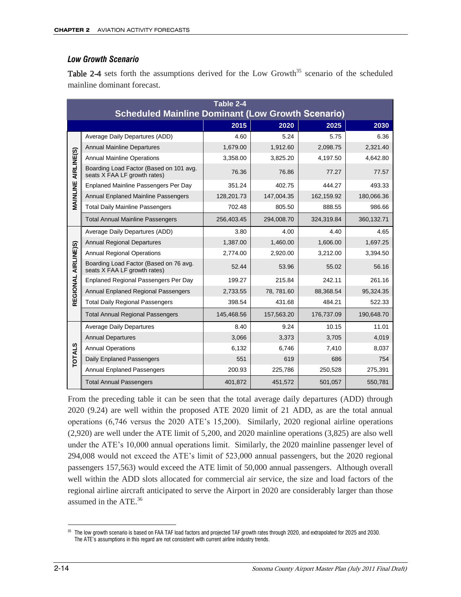#### *Low Growth Scenario*

Table 2-4 sets forth the assumptions derived for the Low Growth<sup>35</sup> scenario of the scheduled mainline dominant forecast.

|                     | Table 2-4<br><b>Scheduled Mainline Dominant (Low Growth Scenario)</b>   |            |            |            |            |  |  |
|---------------------|-------------------------------------------------------------------------|------------|------------|------------|------------|--|--|
|                     |                                                                         | 2015       | 2020       | 2025       | 2030       |  |  |
|                     | Average Daily Departures (ADD)                                          | 4.60       | 5.24       | 5.75       | 6.36       |  |  |
|                     | <b>Annual Mainline Departures</b>                                       | 1,679.00   | 1,912.60   | 2,098.75   | 2,321.40   |  |  |
|                     | <b>Annual Mainline Operations</b>                                       | 3,358.00   | 3,825.20   | 4,197.50   | 4,642.80   |  |  |
| AIRLINE(S)          | Boarding Load Factor (Based on 101 avg.<br>seats X FAA LF growth rates) | 76.36      | 76.86      | 77.27      | 77.57      |  |  |
|                     | <b>Enplaned Mainline Passengers Per Day</b>                             | 351.24     | 402.75     | 444.27     | 493.33     |  |  |
| MAINLINE            | Annual Enplaned Mainline Passengers                                     | 128,201.73 | 147,004.35 | 162,159.92 | 180,066.36 |  |  |
|                     | <b>Total Daily Mainline Passengers</b>                                  | 702.48     | 805.50     | 888.55     | 986.66     |  |  |
|                     | <b>Total Annual Mainline Passengers</b>                                 | 256,403.45 | 294,008.70 | 324,319.84 | 360,132.71 |  |  |
|                     | Average Daily Departures (ADD)                                          | 3.80       | 4.00       | 4.40       | 4.65       |  |  |
|                     | <b>Annual Regional Departures</b>                                       | 1,387.00   | 1,460.00   | 1,606.00   | 1,697.25   |  |  |
|                     | <b>Annual Regional Operations</b>                                       | 2,774.00   | 2,920.00   | 3,212.00   | 3,394.50   |  |  |
| REGIONAL AIRLINE)S) | Boarding Load Factor (Based on 76 avg.<br>seats X FAA LF growth rates)  | 52.44      | 53.96      | 55.02      | 56.16      |  |  |
|                     | Enplaned Regional Passengers Per Day                                    | 199.27     | 215.84     | 242.11     | 261.16     |  |  |
|                     | Annual Enplaned Regional Passengers                                     | 2,733.55   | 78, 781.60 | 88,368.54  | 95,324.35  |  |  |
|                     | <b>Total Daily Regional Passengers</b>                                  | 398.54     | 431.68     | 484.21     | 522.33     |  |  |
|                     | <b>Total Annual Regional Passengers</b>                                 | 145,468.56 | 157,563.20 | 176,737.09 | 190,648.70 |  |  |
|                     | <b>Average Daily Departures</b>                                         | 8.40       | 9.24       | 10.15      | 11.01      |  |  |
|                     | <b>Annual Departures</b>                                                | 3,066      | 3,373      | 3,705      | 4,019      |  |  |
| <b>TOTALS</b>       | <b>Annual Operations</b>                                                | 6,132      | 6,746      | 7,410      | 8,037      |  |  |
|                     | Daily Enplaned Passengers                                               | 551        | 619        | 686        | 754        |  |  |
|                     | <b>Annual Enplaned Passengers</b>                                       | 200.93     | 225,786    | 250,528    | 275,391    |  |  |
|                     | <b>Total Annual Passengers</b>                                          | 401,872    | 451,572    | 501,057    | 550,781    |  |  |

From the preceding table it can be seen that the total average daily departures (ADD) through 2020 (9.24) are well within the proposed ATE 2020 limit of 21 ADD, as are the total annual operations (6,746 versus the 2020 ATE's 15,200). Similarly, 2020 regional airline operations (2,920) are well under the ATE limit of 5,200, and 2020 mainline operations (3,825) are also well under the ATE's 10,000 annual operations limit. Similarly, the 2020 mainline passenger level of 294,008 would not exceed the ATE's limit of 523,000 annual passengers, but the 2020 regional passengers 157,563) would exceed the ATE limit of 50,000 annual passengers. Although overall well within the ADD slots allocated for commercial air service, the size and load factors of the regional airline aircraft anticipated to serve the Airport in 2020 are considerably larger than those assumed in the ATE.<sup>36</sup>

 $\overline{a}$ <sup>35</sup> The low growth scenario is based on FAA TAF load factors and projected TAF growth rates through 2020, and extrapolated for 2025 and 2030. The ATE's assumptions in this regard are not consistent with current airline industry trends.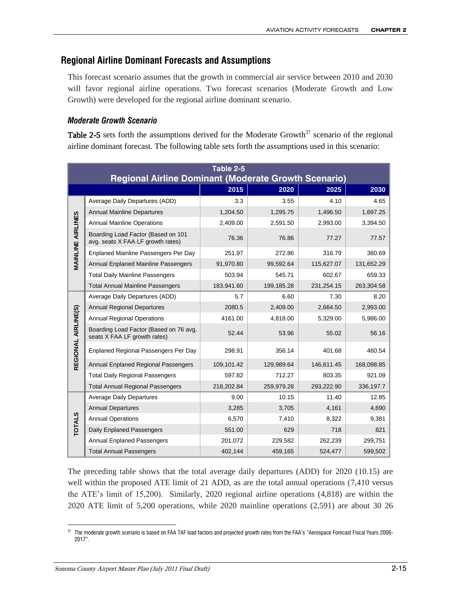# **Regional Airline Dominant Forecasts and Assumptions**

This forecast scenario assumes that the growth in commercial air service between 2010 and 2030 will favor regional airline operations. Two forecast scenarios (Moderate Growth and Low Growth) were developed for the regional airline dominant scenario.

#### *Moderate Growth Scenario*

Table 2-5 sets forth the assumptions derived for the Moderate Growth<sup>37</sup> scenario of the regional airline dominant forecast. The following table sets forth the assumptions used in this scenario:

|                          | Table 2-5<br><b>Regional Airline Dominant (Moderate Growth Scenario)</b> |            |            |            |            |  |  |  |
|--------------------------|--------------------------------------------------------------------------|------------|------------|------------|------------|--|--|--|
|                          |                                                                          | 2015       | 2020       | 2025       | 2030       |  |  |  |
|                          | Average Daily Departures (ADD)                                           | 3.3        | 3.55       | 4.10       | 4.65       |  |  |  |
|                          | <b>Annual Mainline Departures</b>                                        | 1,204.50   | 1,295.75   | 1,496.50   | 1,697.25   |  |  |  |
|                          | <b>Annual Mainline Operations</b>                                        | 2,409.00   | 2,591.50   | 2,993.00   | 3,394.50   |  |  |  |
| <b>MAINLINE AIRLINES</b> | Boarding Load Factor (Based on 101<br>avg. seats X FAA LF growth rates)  | 76.36      | 76.86      | 77.27      | 77.57      |  |  |  |
|                          | Enplaned Mainline Passengers Per Day                                     | 251.97     | 272.86     | 316.79     | 360.69     |  |  |  |
|                          | <b>Annual Enplaned Mainline Passengers</b>                               | 91,970.80  | 99,592.64  | 115,627.07 | 131,652.29 |  |  |  |
|                          | <b>Total Daily Mainline Passengers</b>                                   | 503.94     | 545.71     | 602.67     | 659.33     |  |  |  |
|                          | <b>Total Annual Mainline Passengers</b>                                  | 183,941.60 | 199,185.28 | 231,254.15 | 263,304.58 |  |  |  |
|                          | Average Daily Departures (ADD)                                           | 5.7        | 6.60       | 7.30       | 8.20       |  |  |  |
|                          | <b>Annual Regional Departures</b>                                        | 2080.5     | 2,409.00   | 2,664.50   | 2,993.00   |  |  |  |
|                          | <b>Annual Regional Operations</b>                                        | 4161.00    | 4,818.00   | 5,329.00   | 5,986.00   |  |  |  |
| REGIONAL AIRLINE(S)      | Boarding Load Factor (Based on 76 avg.<br>seats X FAA LF growth rates)   | 52.44      | 53.96      | 55.02      | 56.16      |  |  |  |
|                          | Enplaned Regional Passengers Per Day                                     | 298.91     | 356.14     | 401.68     | 460.54     |  |  |  |
|                          | Annual Enplaned Regional Passengers                                      | 109,101.42 | 129,989.64 | 146,611.45 | 168,098.85 |  |  |  |
|                          | <b>Total Daily Regional Passengers</b>                                   | 597.82     | 712.27     | 803.35     | 921.09     |  |  |  |
|                          | <b>Total Annual Regional Passengers</b>                                  | 218,202.84 | 259,979.28 | 293,222.90 | 336,197.7  |  |  |  |
|                          | <b>Average Daily Departures</b>                                          | 9.00       | 10.15      | 11.40      | 12.85      |  |  |  |
|                          | <b>Annual Departures</b>                                                 | 3,285      | 3,705      | 4,161      | 4,690      |  |  |  |
| <b>TOTALS</b>            | <b>Annual Operations</b>                                                 | 6,570      | 7,410      | 8,322      | 9,381      |  |  |  |
|                          | Daily Enplaned Passengers                                                | 551.00     | 629        | 718        | 821        |  |  |  |
|                          | <b>Annual Enplaned Passengers</b>                                        | 201,072    | 229,582    | 262,239    | 299,751    |  |  |  |
|                          | <b>Total Annual Passengers</b>                                           | 402,144    | 459,165    | 524,477    | 599,502    |  |  |  |

The preceding table shows that the total average daily departures (ADD) for 2020 (10.15) are well within the proposed ATE limit of 21 ADD, as are the total annual operations (7,410 versus the ATE's limit of 15,200). Similarly, 2020 regional airline operations (4,818) are within the 2020 ATE limit of 5,200 operations, while 2020 mainline operations (2,591) are about 30 26

 $\overline{a}$  $\rm^{37}$  The moderate growth scenario is based on FAA TAF load factors and projected growth rates from the FAA's "Aerospace Forecast Fiscal Years 2006-2017".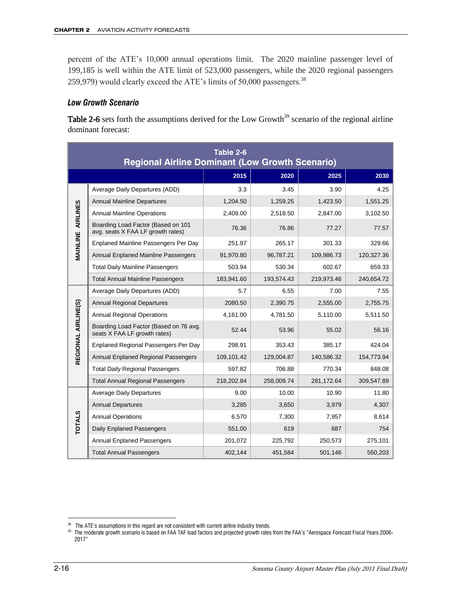percent of the ATE's 10,000 annual operations limit. The 2020 mainline passenger level of 199,185 is well within the ATE limit of 523,000 passengers, while the 2020 regional passengers 259,979) would clearly exceed the ATE's limits of 50,000 passengers.<sup>38</sup>

#### *Low Growth Scenario*

Table 2-6 sets forth the assumptions derived for the Low Growth<sup>39</sup> scenario of the regional airline dominant forecast:

|                          | Table 2-6<br><b>Regional Airline Dominant (Low Growth Scenario)</b>     |            |            |            |            |  |  |  |
|--------------------------|-------------------------------------------------------------------------|------------|------------|------------|------------|--|--|--|
|                          |                                                                         | 2015       | 2020       | 2025       | 2030       |  |  |  |
|                          | Average Daily Departures (ADD)                                          | 3.3        | 3.45       | 3.90       | 4.25       |  |  |  |
| <b>MAINLINE AIRLINES</b> | <b>Annual Mainline Departures</b>                                       | 1.204.50   | 1,259.25   | 1,423.50   | 1,551.25   |  |  |  |
|                          | <b>Annual Mainline Operations</b>                                       | 2,409.00   | 2,518.50   | 2,847.00   | 3,102.50   |  |  |  |
|                          | Boarding Load Factor (Based on 101<br>avg. seats X FAA LF growth rates) | 76.36      | 76.86      | 77.27      | 77.57      |  |  |  |
|                          | <b>Enplaned Mainline Passengers Per Day</b>                             | 251.97     | 265.17     | 301.33     | 329.66     |  |  |  |
|                          | Annual Enplaned Mainline Passengers                                     | 91,970.80  | 96,787.21  | 109,986.73 | 120,327.36 |  |  |  |
|                          | <b>Total Daily Mainline Passengers</b>                                  | 503.94     | 530.34     | 602.67     | 659.33     |  |  |  |
|                          | <b>Total Annual Mainline Passengers</b>                                 | 183,941.60 | 193,574.43 | 219,973.46 | 240,654.72 |  |  |  |
|                          | Average Daily Departures (ADD)                                          | 5.7        | 6.55       | 7.00       | 7.55       |  |  |  |
|                          | <b>Annual Regional Departures</b>                                       | 2080.50    | 2,390.75   | 2,555.00   | 2,755.75   |  |  |  |
|                          | <b>Annual Regional Operations</b>                                       | 4,161.00   | 4,781.50   | 5,110.00   | 5,511.50   |  |  |  |
| REGIONAL AIRLINE(S)      | Boarding Load Factor (Based on 76 avg.<br>seats X FAA LF growth rates)  | 52.44      | 53.96      | 55.02      | 56.16      |  |  |  |
|                          | <b>Enplaned Regional Passengers Per Day</b>                             | 298.91     | 353.43     | 385.17     | 424.04     |  |  |  |
|                          | Annual Enplaned Regional Passengers                                     | 109,101.42 | 129,004.87 | 140,586.32 | 154,773.94 |  |  |  |
|                          | <b>Total Daily Regional Passengers</b>                                  | 597.82     | 706.88     | 770.34     | 848.08     |  |  |  |
|                          | <b>Total Annual Regional Passengers</b>                                 | 218,202.84 | 258,009.74 | 281,172.64 | 309,547.89 |  |  |  |
|                          | <b>Average Daily Departures</b>                                         | 9.00       | 10.00      | 10.90      | 11.80      |  |  |  |
|                          | <b>Annual Departures</b>                                                | 3,285      | 3,650      | 3,979      | 4,307      |  |  |  |
| <b>TOTALS</b>            | <b>Annual Operations</b>                                                | 6,570      | 7,300      | 7,957      | 8,614      |  |  |  |
|                          | Daily Enplaned Passengers                                               | 551.00     | 619        | 687        | 754        |  |  |  |
|                          | <b>Annual Enplaned Passengers</b>                                       | 201,072    | 225,792    | 250,573    | 275,101    |  |  |  |
|                          | <b>Total Annual Passengers</b>                                          | 402,144    | 451,584    | 501,146    | 550,203    |  |  |  |

 $\overline{a}$ <sup>38</sup> The ATE's assumptions in this regard are not consistent with current airline industry trends.

 $^\mathrm{39}$  The moderate growth scenario is based on FAA TAF load factors and projected growth rates from the FAA's "Aerospace Forecast Fiscal Years 2006-2017"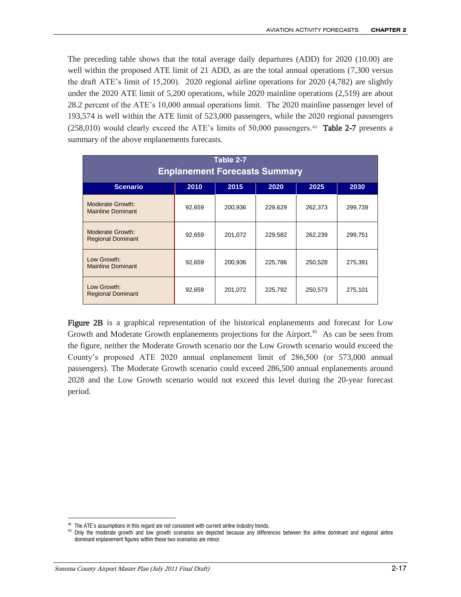The preceding table shows that the total average daily departures (ADD) for 2020 (10.00) are well within the proposed ATE limit of 21 ADD, as are the total annual operations (7,300 versus the draft ATE's limit of 15,200). 2020 regional airline operations for 2020 (4,782) are slightly under the 2020 ATE limit of 5,200 operations, while 2020 mainline operations (2,519) are about 28.2 percent of the ATE's 10,000 annual operations limit. The 2020 mainline passenger level of 193,574 is well within the ATE limit of 523,000 passengers, while the 2020 regional passengers  $(258,010)$  would clearly exceed the ATE's limits of 50,000 passengers.<sup>40</sup> Table 2-7 presents a summary of the above enplanements forecasts.

| Table 2-7<br><b>Enplanement Forecasts Summary</b>       |        |         |         |         |         |  |  |  |  |
|---------------------------------------------------------|--------|---------|---------|---------|---------|--|--|--|--|
| <b>Scenario</b><br>2015<br>2010<br>2020<br>2025<br>2030 |        |         |         |         |         |  |  |  |  |
| Moderate Growth:<br><b>Mainline Dominant</b>            | 92,659 | 200,936 | 229,629 | 262,373 | 299,739 |  |  |  |  |
| Moderate Growth:<br><b>Regional Dominant</b>            | 92,659 | 201,072 | 229,582 | 262,239 | 299,751 |  |  |  |  |
| Low Growth:<br><b>Mainline Dominant</b>                 | 92,659 | 200,936 | 225,786 | 250,528 | 275,391 |  |  |  |  |
| Low Growth:<br><b>Regional Dominant</b>                 | 92,659 | 201,072 | 225,792 | 250,573 | 275,101 |  |  |  |  |

Figure 2B is a graphical representation of the historical enplanements and forecast for Low Growth and Moderate Growth enplanements projections for the Airport.<sup>41</sup> As can be seen from the figure, neither the Moderate Growth scenario nor the Low Growth scenario would exceed the County's proposed ATE 2020 annual enplanement limit of 286,500 (or 573,000 annual passengers). The Moderate Growth scenario could exceed 286,500 annual enplanements around 2028 and the Low Growth scenario would not exceed this level during the 20-year forecast period.

 $\overline{a}$ <sup>40</sup> The ATE's assumptions in this regard are not consistent with current airline industry trends.

<sup>41</sup> Only the moderate growth and low growth scenarios are depicted because any differences between the airline dominant and regional airline dominant enplanement figures within these two scenarios are minor.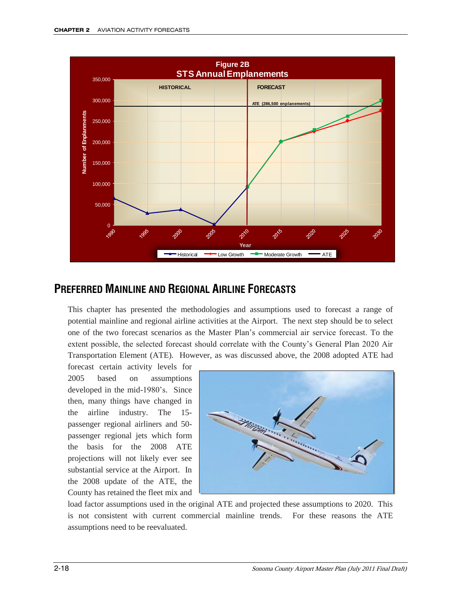

# **PREFERRED MAINLINE AND REGIONAL AIRLINE FORECASTS**

This chapter has presented the methodologies and assumptions used to forecast a range of potential mainline and regional airline activities at the Airport. The next step should be to select one of the two forecast scenarios as the Master Plan's commercial air service forecast. To the extent possible, the selected forecast should correlate with the County's General Plan 2020 Air Transportation Element (ATE). However, as was discussed above, the 2008 adopted ATE had

forecast certain activity levels for 2005 based on assumptions developed in the mid-1980's. Since then, many things have changed in the airline industry. The 15 passenger regional airliners and 50 passenger regional jets which form the basis for the 2008 ATE projections will not likely ever see substantial service at the Airport. In the 2008 update of the ATE, the County has retained the fleet mix and



load factor assumptions used in the original ATE and projected these assumptions to 2020. This is not consistent with current commercial mainline trends. For these reasons the ATE assumptions need to be reevaluated.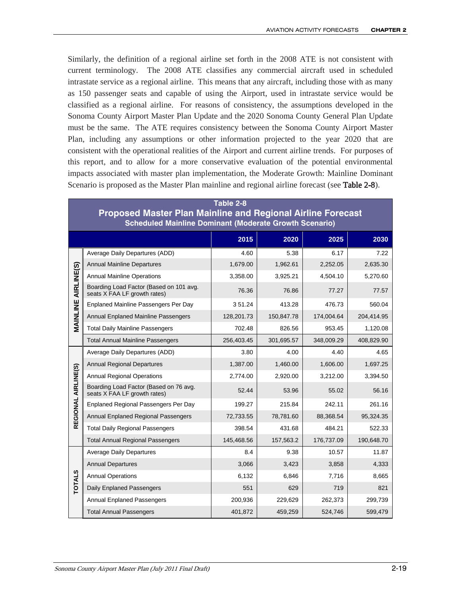Similarly, the definition of a regional airline set forth in the 2008 ATE is not consistent with current terminology. The 2008 ATE classifies any commercial aircraft used in scheduled intrastate service as a regional airline. This means that any aircraft, including those with as many as 150 passenger seats and capable of using the Airport, used in intrastate service would be classified as a regional airline. For reasons of consistency, the assumptions developed in the Sonoma County Airport Master Plan Update and the 2020 Sonoma County General Plan Update must be the same. The ATE requires consistency between the Sonoma County Airport Master Plan, including any assumptions or other information projected to the year 2020 that are consistent with the operational realities of the Airport and current airline trends. For purposes of this report, and to allow for a more conservative evaluation of the potential environmental impacts associated with master plan implementation, the Moderate Growth: Mainline Dominant Scenario is proposed as the Master Plan mainline and regional airline forecast (see **Table 2-8**).

|                     | Table 2-8<br><b>Proposed Master Plan Mainline and Regional Airline Forecast</b> |            |            |            |            |  |  |  |  |
|---------------------|---------------------------------------------------------------------------------|------------|------------|------------|------------|--|--|--|--|
|                     | <b>Scheduled Mainline Dominant (Moderate Growth Scenario)</b>                   |            |            |            |            |  |  |  |  |
|                     |                                                                                 | 2015       | 2020       | 2025       | 2030       |  |  |  |  |
|                     | Average Daily Departures (ADD)                                                  | 4.60       | 5.38       | 6.17       | 7.22       |  |  |  |  |
|                     | <b>Annual Mainline Departures</b>                                               | 1,679.00   | 1,962.61   | 2,252.05   | 2,635.30   |  |  |  |  |
|                     | <b>Annual Mainline Operations</b>                                               | 3,358.00   | 3,925.21   | 4,504.10   | 5,270.60   |  |  |  |  |
| AIRLINE(S)          | Boarding Load Factor (Based on 101 avg.<br>seats X FAA LF growth rates)         | 76.36      | 76.86      | 77.27      | 77.57      |  |  |  |  |
|                     | Enplaned Mainline Passengers Per Day                                            | 351.24     | 413.28     | 476.73     | 560.04     |  |  |  |  |
| MAINLINE            | Annual Enplaned Mainline Passengers                                             | 128,201.73 | 150,847.78 | 174,004.64 | 204,414.95 |  |  |  |  |
|                     | <b>Total Daily Mainline Passengers</b>                                          | 702.48     | 826.56     | 953.45     | 1,120.08   |  |  |  |  |
|                     | <b>Total Annual Mainline Passengers</b>                                         | 256,403.45 | 301,695.57 | 348,009.29 | 408,829.90 |  |  |  |  |
|                     | Average Daily Departures (ADD)                                                  | 3.80       | 4.00       | 4.40       | 4.65       |  |  |  |  |
|                     | <b>Annual Regional Departures</b>                                               | 1,387.00   | 1,460.00   | 1,606.00   | 1,697.25   |  |  |  |  |
|                     | <b>Annual Regional Operations</b>                                               | 2,774.00   | 2,920.00   | 3,212.00   | 3,394.50   |  |  |  |  |
| REGIONAL AIRLINE(S) | Boarding Load Factor (Based on 76 avg.<br>seats X FAA LF growth rates)          | 52.44      | 53.96      | 55.02      | 56.16      |  |  |  |  |
|                     | Enplaned Regional Passengers Per Day                                            | 199.27     | 215.84     | 242.11     | 261.16     |  |  |  |  |
|                     | Annual Enplaned Regional Passengers                                             | 72,733.55  | 78,781.60  | 88,368.54  | 95,324.35  |  |  |  |  |
|                     | <b>Total Daily Regional Passengers</b>                                          | 398.54     | 431.68     | 484.21     | 522.33     |  |  |  |  |
|                     | <b>Total Annual Regional Passengers</b>                                         | 145,468.56 | 157,563.2  | 176,737.09 | 190,648.70 |  |  |  |  |
|                     | <b>Average Daily Departures</b>                                                 | 8.4        | 9.38       | 10.57      | 11.87      |  |  |  |  |
|                     | <b>Annual Departures</b>                                                        | 3,066      | 3,423      | 3,858      | 4,333      |  |  |  |  |
| <b>TOTALS</b>       | <b>Annual Operations</b>                                                        | 6,132      | 6,846      | 7,716      | 8,665      |  |  |  |  |
|                     | Daily Enplaned Passengers                                                       | 551        | 629        | 719        | 821        |  |  |  |  |
|                     | Annual Enplaned Passengers                                                      | 200,936    | 229,629    | 262,373    | 299,739    |  |  |  |  |
|                     | <b>Total Annual Passengers</b>                                                  | 401,872    | 459,259    | 524,746    | 599,479    |  |  |  |  |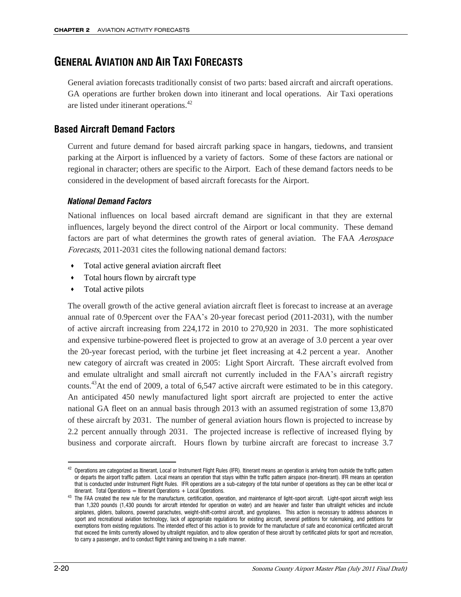# **GENERAL AVIATION AND AIR TAXI FORECASTS**

General aviation forecasts traditionally consist of two parts: based aircraft and aircraft operations. GA operations are further broken down into itinerant and local operations. Air Taxi operations are listed under itinerant operations.<sup>42</sup>

# **Based Aircraft Demand Factors**

Current and future demand for based aircraft parking space in hangars, tiedowns, and transient parking at the Airport is influenced by a variety of factors. Some of these factors are national or regional in character; others are specific to the Airport. Each of these demand factors needs to be considered in the development of based aircraft forecasts for the Airport.

#### *National Demand Factors*

National influences on local based aircraft demand are significant in that they are external influences, largely beyond the direct control of the Airport or local community. These demand factors are part of what determines the growth rates of general aviation. The FAA Aerospace Forecasts, 2011-2031 cites the following national demand factors:

- Total active general aviation aircraft fleet
- Total hours flown by aircraft type
- Total active pilots

The overall growth of the active general aviation aircraft fleet is forecast to increase at an average annual rate of 0.9percent over the FAA's 20-year forecast period (2011-2031), with the number of active aircraft increasing from 224,172 in 2010 to 270,920 in 2031. The more sophisticated and expensive turbine-powered fleet is projected to grow at an average of 3.0 percent a year over the 20-year forecast period, with the turbine jet fleet increasing at 4.2 percent a year. Another new category of aircraft was created in 2005: Light Sport Aircraft. These aircraft evolved from and emulate ultralight and small aircraft not currently included in the FAA's aircraft registry counts.<sup>43</sup>At the end of 2009, a total of 6,547 active aircraft were estimated to be in this category. An anticipated 450 newly manufactured light sport aircraft are projected to enter the active national GA fleet on an annual basis through 2013 with an assumed registration of some 13,870 of these aircraft by 2031. The number of general aviation hours flown is projected to increase by 2.2 percent annually through 2031. The projected increase is reflective of increased flying by business and corporate aircraft. Hours flown by turbine aircraft are forecast to increase 3.7

 $42$  Operations are categorized as Itinerant, Local or Instrument Flight Rules (IFR). Itinerant means an operation is arriving from outside the traffic pattern or departs the airport traffic pattern. Local means an operation that stays within the traffic pattern airspace (non-itinerant). IFR means an operation that is conducted under Instrument Flight Rules. IFR operations are a sub-category of the total number of operations as they can be either local or itinerant. Total Operations  $=$  Itinerant Operations  $+$  Local Operations.

<sup>&</sup>lt;sup>43</sup> The FAA created the new rule for the manufacture, certification, operation, and maintenance of light-sport aircraft. Light-sport aircraft weigh less than 1,320 pounds (1,430 pounds for aircraft intended for operation on water) and are heavier and faster than ultralight vehicles and include airplanes, gliders, balloons, powered parachutes, weight-shift-control aircraft, and gyroplanes. This action is necessary to address advances in sport and recreational aviation technology, lack of appropriate regulations for existing aircraft, several petitions for rulemaking, and petitions for exemptions from existing regulations. The intended effect of this action is to provide for the manufacture of safe and economical certificated aircraft that exceed the limits currently allowed by ultralight regulation, and to allow operation of these aircraft by certificated pilots for sport and recreation, to carry a passenger, and to conduct flight training and towing in a safe manner.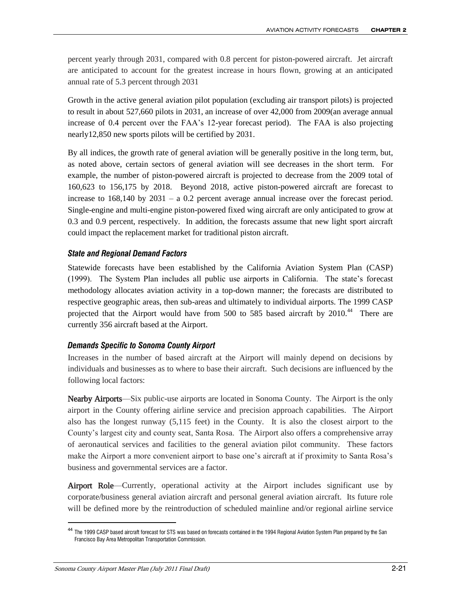percent yearly through 2031, compared with 0.8 percent for piston-powered aircraft. Jet aircraft are anticipated to account for the greatest increase in hours flown, growing at an anticipated annual rate of 5.3 percent through 2031

Growth in the active general aviation pilot population (excluding air transport pilots) is projected to result in about 527,660 pilots in 2031, an increase of over 42,000 from 2009(an average annual increase of 0.4 percent over the FAA's 12-year forecast period). The FAA is also projecting nearly12,850 new sports pilots will be certified by 2031.

By all indices, the growth rate of general aviation will be generally positive in the long term, but, as noted above, certain sectors of general aviation will see decreases in the short term. For example, the number of piston-powered aircraft is projected to decrease from the 2009 total of 160,623 to 156,175 by 2018. Beyond 2018, active piston-powered aircraft are forecast to increase to 168,140 by 2031 – a 0.2 percent average annual increase over the forecast period. Single-engine and multi-engine piston-powered fixed wing aircraft are only anticipated to grow at 0.3 and 0.9 percent, respectively. In addition, the forecasts assume that new light sport aircraft could impact the replacement market for traditional piston aircraft.

#### *State and Regional Demand Factors*

Statewide forecasts have been established by the California Aviation System Plan (CASP) (1999). The System Plan includes all public use airports in California. The state's forecast methodology allocates aviation activity in a top-down manner; the forecasts are distributed to respective geographic areas, then sub-areas and ultimately to individual airports. The 1999 CASP projected that the Airport would have from 500 to 585 based aircraft by 2010.<sup>44</sup> There are currently 356 aircraft based at the Airport.

#### *Demands Specific to Sonoma County Airport*

Increases in the number of based aircraft at the Airport will mainly depend on decisions by individuals and businesses as to where to base their aircraft. Such decisions are influenced by the following local factors:

Nearby Airports—Six public-use airports are located in Sonoma County. The Airport is the only airport in the County offering airline service and precision approach capabilities. The Airport also has the longest runway (5,115 feet) in the County. It is also the closest airport to the County's largest city and county seat, Santa Rosa. The Airport also offers a comprehensive array of aeronautical services and facilities to the general aviation pilot community. These factors make the Airport a more convenient airport to base one's aircraft at if proximity to Santa Rosa's business and governmental services are a factor.

Airport Role—Currently, operational activity at the Airport includes significant use by corporate/business general aviation aircraft and personal general aviation aircraft. Its future role will be defined more by the reintroduction of scheduled mainline and/or regional airline service

<sup>44</sup> The 1999 CASP based aircraft forecast for STS was based on forecasts contained in the 1994 Regional Aviation System Plan prepared by the San Francisco Bay Area Metropolitan Transportation Commission.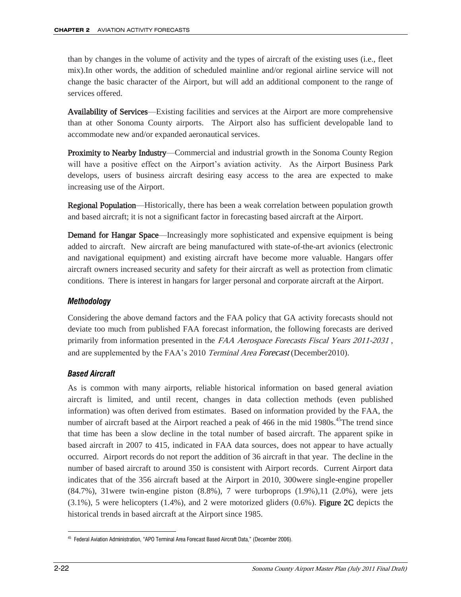than by changes in the volume of activity and the types of aircraft of the existing uses (i.e., fleet mix).In other words, the addition of scheduled mainline and/or regional airline service will not change the basic character of the Airport, but will add an additional component to the range of services offered.

Availability of Services—Existing facilities and services at the Airport are more comprehensive than at other Sonoma County airports. The Airport also has sufficient developable land to accommodate new and/or expanded aeronautical services.

Proximity to Nearby Industry—Commercial and industrial growth in the Sonoma County Region will have a positive effect on the Airport's aviation activity. As the Airport Business Park develops, users of business aircraft desiring easy access to the area are expected to make increasing use of the Airport.

Regional Population—Historically, there has been a weak correlation between population growth and based aircraft; it is not a significant factor in forecasting based aircraft at the Airport.

**Demand for Hangar Space—Increasingly more sophisticated and expensive equipment is being** added to aircraft. New aircraft are being manufactured with state-of-the-art avionics (electronic and navigational equipment) and existing aircraft have become more valuable. Hangars offer aircraft owners increased security and safety for their aircraft as well as protection from climatic conditions. There is interest in hangars for larger personal and corporate aircraft at the Airport.

#### *Methodology*

Considering the above demand factors and the FAA policy that GA activity forecasts should not deviate too much from published FAA forecast information, the following forecasts are derived primarily from information presented in the FAA Aerospace Forecasts Fiscal Years 2011-2031, and are supplemented by the FAA's 2010 Terminal Area Forecast (December 2010).

#### *Based Aircraft*

As is common with many airports, reliable historical information on based general aviation aircraft is limited, and until recent, changes in data collection methods (even published information) was often derived from estimates. Based on information provided by the FAA, the number of aircraft based at the Airport reached a peak of 466 in the mid 1980s.<sup>45</sup>The trend since that time has been a slow decline in the total number of based aircraft. The apparent spike in based aircraft in 2007 to 415, indicated in FAA data sources, does not appear to have actually occurred. Airport records do not report the addition of 36 aircraft in that year. The decline in the number of based aircraft to around 350 is consistent with Airport records. Current Airport data indicates that of the 356 aircraft based at the Airport in 2010, 300were single-engine propeller  $(84.7\%)$ , 31were twin-engine piston  $(8.8\%)$ , 7 were turboprops  $(1.9\%)$ , 11  $(2.0\%)$ , were jets  $(3.1\%)$ , 5 were helicopters  $(1.4\%)$ , and 2 were motorized gliders  $(0.6\%)$ . Figure 2C depicts the historical trends in based aircraft at the Airport since 1985.

 $\overline{a}$ 45 Federal Aviation Administration, "APO Terminal Area Forecast Based Aircraft Data," (December 2006).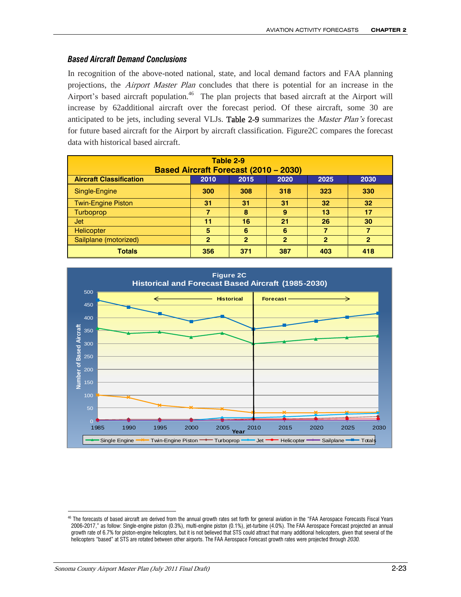#### *Based Aircraft Demand Conclusions*

In recognition of the above-noted national, state, and local demand factors and FAA planning projections, the *Airport Master Plan* concludes that there is potential for an increase in the Airport's based aircraft population.<sup>46</sup> The plan projects that based aircraft at the Airport will increase by 62additional aircraft over the forecast period. Of these aircraft, some 30 are anticipated to be jets, including several VLJs. Table 2-9 summarizes the *Master Plan's* forecast for future based aircraft for the Airport by aircraft classification. Figure2C compares the forecast data with historical based aircraft.

| Table 2-9                                                              |              |                |                |     |                 |  |  |
|------------------------------------------------------------------------|--------------|----------------|----------------|-----|-----------------|--|--|
| <b>Based Aircraft Forecast (2010 - 2030)</b>                           |              |                |                |     |                 |  |  |
| <b>Aircraft Classification</b><br>2010<br>2015<br>2020<br>2025<br>2030 |              |                |                |     |                 |  |  |
| Single-Engine                                                          | 300          | 308            | 318            | 323 | 330             |  |  |
| <b>Twin-Engine Piston</b>                                              | 31           | 31             | 31             | 32  | 32 <sub>2</sub> |  |  |
| <b>Turboprop</b>                                                       | 7            | 8              | 9              | 13  | 17              |  |  |
| <b>Jet</b>                                                             | 11           | 16             | 21             | 26  | 30              |  |  |
| Helicopter                                                             | 5            | 6              | 6              | 7   |                 |  |  |
| Sailplane (motorized)                                                  | $\mathbf{2}$ | $\overline{2}$ | $\overline{2}$ | 2   | $\overline{2}$  |  |  |
| <b>Totals</b>                                                          | 356          | 371            | 387            | 403 | 418             |  |  |



<sup>46</sup> The forecasts of based aircraft are derived from the annual growth rates set forth for general aviation in the "FAA Aerospace Forecasts Fiscal Years 2006-2017," as follow: Single-engine piston (0.3%), multi-engine piston (0.1%), jet-turbine (4.0%). The FAA Aerospace Forecast projected an annual growth rate of 6.7% for piston-engine helicopters, but it is not believed that STS could attract that many additional helicopters, given that several of the helicopters "based" at STS are rotated between other airports. The FAA Aerospace Forecast growth rates were projected through *2030.*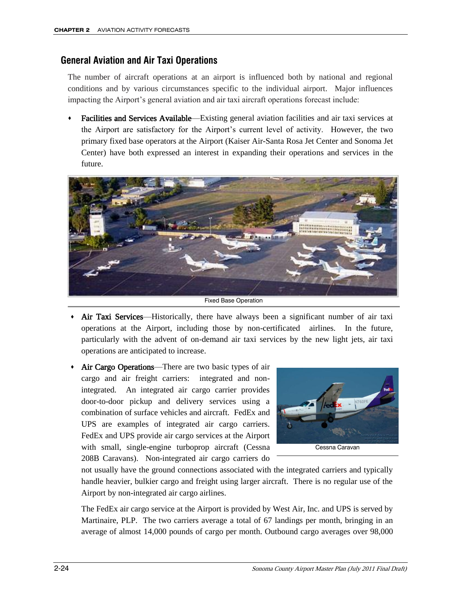## **General Aviation and Air Taxi Operations**

The number of aircraft operations at an airport is influenced both by national and regional conditions and by various circumstances specific to the individual airport. Major influences impacting the Airport's general aviation and air taxi aircraft operations forecast include:

 Facilities and Services Available—Existing general aviation facilities and air taxi services at the Airport are satisfactory for the Airport's current level of activity. However, the two primary fixed base operators at the Airport (Kaiser Air-Santa Rosa Jet Center and Sonoma Jet Center) have both expressed an interest in expanding their operations and services in the future.



Fixed Base Operation

- Air Taxi Services—Historically, there have always been a significant number of air taxi operations at the Airport, including those by non-certificated airlines. In the future, particularly with the advent of on-demand air taxi services by the new light jets, air taxi operations are anticipated to increase.
- Air Cargo Operations—There are two basic types of air cargo and air freight carriers: integrated and nonintegrated. An integrated air cargo carrier provides door-to-door pickup and delivery services using a combination of surface vehicles and aircraft. FedEx and UPS are examples of integrated air cargo carriers. FedEx and UPS provide air cargo services at the Airport with small, single-engine turboprop aircraft (Cessna 208B Caravans). Non-integrated air cargo carriers do



not usually have the ground connections associated with the integrated carriers and typically handle heavier, bulkier cargo and freight using larger aircraft. There is no regular use of the Airport by non-integrated air cargo airlines.

The FedEx air cargo service at the Airport is provided by West Air, Inc. and UPS is served by Martinaire, PLP. The two carriers average a total of 67 landings per month, bringing in an average of almost 14,000 pounds of cargo per month. Outbound cargo averages over 98,000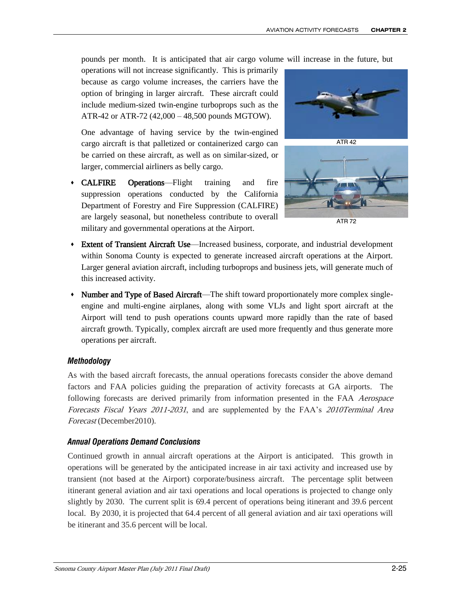pounds per month. It is anticipated that air cargo volume will increase in the future, but

operations will not increase significantly. This is primarily because as cargo volume increases, the carriers have the option of bringing in larger aircraft. These aircraft could include medium-sized twin-engine turboprops such as the ATR-42 or ATR-72 (42,000 – 48,500 pounds MGTOW).

One advantage of having service by the twin-engined cargo aircraft is that palletized or containerized cargo can be carried on these aircraft, as well as on similar-sized, or larger, commercial airliners as belly cargo.

 CALFIRE Operations—Flight training and fire suppression operations conducted by the California Department of Forestry and Fire Suppression (CALFIRE) are largely seasonal, but nonetheless contribute to overall military and governmental operations at the Airport.





ATR 72

- Extent of Transient Aircraft Use—Increased business, corporate, and industrial development within Sonoma County is expected to generate increased aircraft operations at the Airport. Larger general aviation aircraft, including turboprops and business jets, will generate much of this increased activity.
- Number and Type of Based Aircraft—The shift toward proportionately more complex singleengine and multi-engine airplanes, along with some VLJs and light sport aircraft at the Airport will tend to push operations counts upward more rapidly than the rate of based aircraft growth. Typically, complex aircraft are used more frequently and thus generate more operations per aircraft.

#### *Methodology*

As with the based aircraft forecasts, the annual operations forecasts consider the above demand factors and FAA policies guiding the preparation of activity forecasts at GA airports. The following forecasts are derived primarily from information presented in the FAA Aerospace Forecasts Fiscal Years 2011-2031, and are supplemented by the FAA's 2010Terminal Area Forecast (December2010).

#### *Annual Operations Demand Conclusions*

Continued growth in annual aircraft operations at the Airport is anticipated. This growth in operations will be generated by the anticipated increase in air taxi activity and increased use by transient (not based at the Airport) corporate/business aircraft. The percentage split between itinerant general aviation and air taxi operations and local operations is projected to change only slightly by 2030. The current split is 69.4 percent of operations being itinerant and 39.6 percent local. By 2030, it is projected that 64.4 percent of all general aviation and air taxi operations will be itinerant and 35.6 percent will be local.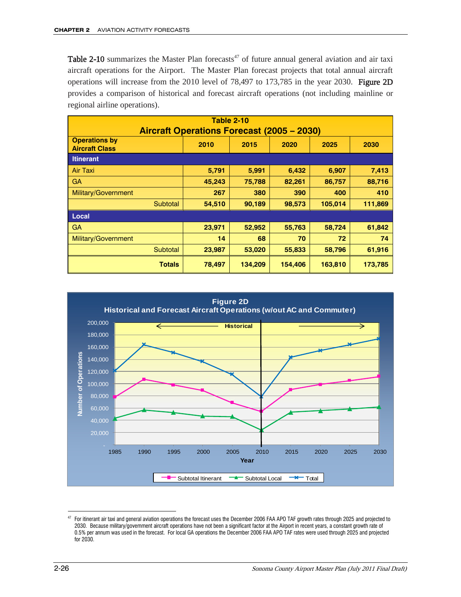**Table 2-10** summarizes the Master Plan forecasts<sup>47</sup> of future annual general aviation and air taxi aircraft operations for the Airport. The Master Plan forecast projects that total annual aircraft operations will increase from the 2010 level of 78,497 to 173,785 in the year 2030. Figure 2D provides a comparison of historical and forecast aircraft operations (not including mainline or regional airline operations).

| <b>Table 2-10</b>                                 |        |         |         |         |         |  |  |  |
|---------------------------------------------------|--------|---------|---------|---------|---------|--|--|--|
| <b>Aircraft Operations Forecast (2005 - 2030)</b> |        |         |         |         |         |  |  |  |
| <b>Operations by</b><br><b>Aircraft Class</b>     | 2010   | 2015    | 2020    | 2025    | 2030    |  |  |  |
| <b>Itinerant</b>                                  |        |         |         |         |         |  |  |  |
| Air Taxi                                          | 5,791  | 5,991   | 6,432   | 6,907   | 7,413   |  |  |  |
| <b>GA</b>                                         | 45,243 | 75,788  | 82,261  | 86,757  | 88,716  |  |  |  |
| Military/Government                               | 267    | 380     | 390     | 400     | 410     |  |  |  |
| Subtotal                                          | 54,510 | 90,189  | 98,573  | 105,014 | 111,869 |  |  |  |
| Local                                             |        |         |         |         |         |  |  |  |
| <b>GA</b>                                         | 23,971 | 52,952  | 55,763  | 58,724  | 61,842  |  |  |  |
| Military/Government                               | 14     | 68      | 70      | 72      | 74      |  |  |  |
| Subtotal                                          | 23,987 | 53,020  | 55,833  | 58,796  | 61,916  |  |  |  |
| <b>Totals</b>                                     | 78,497 | 134,209 | 154,406 | 163,810 | 173,785 |  |  |  |



 $\overline{a}$  $47$  For itinerant air taxi and general aviation operations the forecast uses the December 2006 FAA APO TAF growth rates through 2025 and projected to 2030. Because military/government aircraft operations have not been a significant factor at the Airport in recent years, a constant growth rate of 0.5% per annum was used in the forecast. For local GA operations the December 2006 FAA APO TAF rates were used through 2025 and projected for 2030.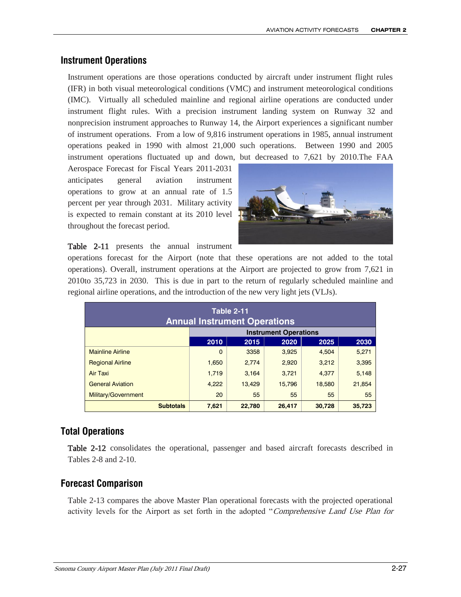#### **Instrument Operations**

Instrument operations are those operations conducted by aircraft under instrument flight rules (IFR) in both visual meteorological conditions (VMC) and instrument meteorological conditions (IMC). Virtually all scheduled mainline and regional airline operations are conducted under instrument flight rules. With a precision instrument landing system on Runway 32 and nonprecision instrument approaches to Runway 14, the Airport experiences a significant number of instrument operations. From a low of 9,816 instrument operations in 1985, annual instrument operations peaked in 1990 with almost 21,000 such operations. Between 1990 and 2005 instrument operations fluctuated up and down, but decreased to 7,621 by 2010.The FAA

Aerospace Forecast for Fiscal Years 2011-2031 anticipates general aviation instrument operations to grow at an annual rate of 1.5 percent per year through 2031. Military activity is expected to remain constant at its 2010 level throughout the forecast period.



Table 2-11 presents the annual instrument

operations forecast for the Airport (note that these operations are not added to the total operations). Overall, instrument operations at the Airport are projected to grow from 7,621 in 2010to 35,723 in 2030. This is due in part to the return of regularly scheduled mainline and regional airline operations, and the introduction of the new very light jets (VLJs).

| <b>Table 2-11</b><br><b>Annual Instrument Operations</b> |                            |        |        |        |        |  |
|----------------------------------------------------------|----------------------------|--------|--------|--------|--------|--|
| <b>Instrument Operations</b>                             |                            |        |        |        |        |  |
|                                                          | 2010                       | 2015   | 2020   | 2025   | 2030   |  |
| <b>Mainline Airline</b>                                  | $\Omega$                   | 3358   | 3.925  | 4.504  | 5,271  |  |
| <b>Regional Airline</b>                                  | 1,650                      | 2.774  | 2,920  | 3,212  | 3,395  |  |
| <b>Air Taxi</b>                                          | 1,719                      | 3.164  | 3.721  | 4.377  | 5,148  |  |
| <b>General Aviation</b>                                  | 4,222                      | 13.429 | 15.796 | 18,580 | 21.854 |  |
| Military/Government                                      | 20<br>55<br>55<br>55<br>55 |        |        |        |        |  |
| <b>Subtotals</b>                                         | 7,621                      | 22,780 | 26,417 | 30.728 | 35.723 |  |

# **Total Operations**

Table 2-12 consolidates the operational, passenger and based aircraft forecasts described in Tables 2-8 and 2-10.

# **Forecast Comparison**

Table 2-13 compares the above Master Plan operational forecasts with the projected operational activity levels for the Airport as set forth in the adopted "Comprehensive Land Use Plan for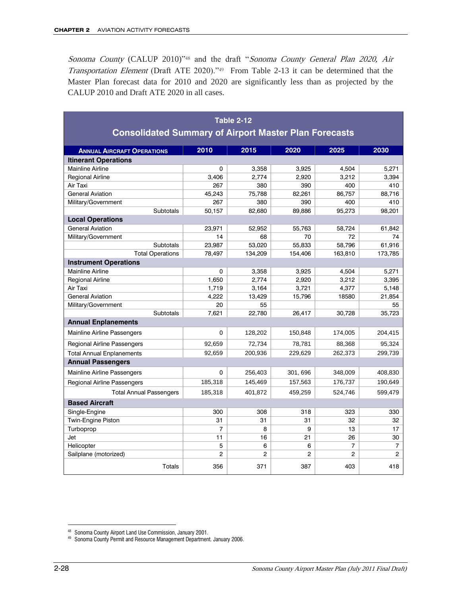Sonoma County (CALUP 2010)<sup>748</sup> and the draft "Sonoma County General Plan 2020, Air Transportation Element (Draft ATE 2020)."49 From Table 2-13 it can be determined that the Master Plan forecast data for 2010 and 2020 are significantly less than as projected by the CALUP 2010 and Draft ATE 2020 in all cases.

| <b>Table 2-12</b>                                            |                |                 |                 |                |                 |  |  |  |
|--------------------------------------------------------------|----------------|-----------------|-----------------|----------------|-----------------|--|--|--|
| <b>Consolidated Summary of Airport Master Plan Forecasts</b> |                |                 |                 |                |                 |  |  |  |
| <b>ANNUAL AIRCRAFT OPERATIONS</b>                            | 2010           | 2015            | 2020            | 2025           | 2030            |  |  |  |
| <b>Itinerant Operations</b>                                  |                |                 |                 |                |                 |  |  |  |
| <b>Mainline Airline</b>                                      | $\Omega$       | 3.358           | 3.925           | 4,504          | 5.271           |  |  |  |
| <b>Regional Airline</b>                                      | 3,406          | 2,774           | 2,920           | 3,212          | 3,394           |  |  |  |
| Air Taxi                                                     | 267            | 380             | 390             | 400            | 410             |  |  |  |
| <b>General Aviation</b>                                      | 45,243         | 75,788          | 82,261          | 86,757         | 88,716          |  |  |  |
| Military/Government                                          | 267            | 380             | 390             | 400            | 410             |  |  |  |
| <b>Subtotals</b>                                             | 50,157         | 82.680          | 89.886          | 95,273         | 98,201          |  |  |  |
| <b>Local Operations</b>                                      |                |                 |                 |                |                 |  |  |  |
| <b>General Aviation</b>                                      | 23.971         | 52.952          | 55.763          | 58.724         | 61,842          |  |  |  |
| Military/Government                                          | 14             | 68              | 70              | 72             | 74              |  |  |  |
| <b>Subtotals</b>                                             | 23,987         | 53,020          | 55,833          | 58,796         | 61,916          |  |  |  |
| <b>Total Operations</b>                                      | 78,497         | 134,209         | 154,406         | 163,810        | 173,785         |  |  |  |
| <b>Instrument Operations</b>                                 |                |                 |                 |                |                 |  |  |  |
| <b>Mainline Airline</b>                                      | 0              | 3,358           | 3,925           | 4,504          | 5,271           |  |  |  |
| <b>Regional Airline</b>                                      | 1.650          | 2.774           | 2.920           | 3.212          | 3.395           |  |  |  |
| Air Taxi<br><b>General Aviation</b>                          | 1,719<br>4,222 | 3,164<br>13,429 | 3,721<br>15,796 | 4,377<br>18580 | 5,148<br>21,854 |  |  |  |
| Military/Government                                          | 20             | 55              |                 |                | 55              |  |  |  |
| <b>Subtotals</b>                                             | 7,621          | 22,780          | 26,417          | 30,728         | 35,723          |  |  |  |
| <b>Annual Enplanements</b>                                   |                |                 |                 |                |                 |  |  |  |
| Mainline Airline Passengers                                  | 0              | 128,202         | 150,848         | 174,005        | 204,415         |  |  |  |
| <b>Regional Airline Passengers</b>                           | 92,659         | 72,734          | 78,781          | 88,368         | 95,324          |  |  |  |
| <b>Total Annual Enplanements</b>                             | 92,659         | 200,936         | 229,629         | 262,373        | 299,739         |  |  |  |
| <b>Annual Passengers</b>                                     |                |                 |                 |                |                 |  |  |  |
| Mainline Airline Passengers                                  | 0              | 256,403         | 301, 696        | 348,009        | 408,830         |  |  |  |
| <b>Regional Airline Passengers</b>                           | 185,318        | 145,469         | 157,563         | 176,737        | 190,649         |  |  |  |
| <b>Total Annual Passengers</b>                               | 185,318        | 401.872         | 459.259         | 524,746        | 599.479         |  |  |  |
| <b>Based Aircraft</b>                                        |                |                 |                 |                |                 |  |  |  |
| Single-Engine                                                | 300            | 308             | 318             | 323            | 330             |  |  |  |
| Twin-Engine Piston                                           | 31             | 31              | 31              | 32             | 32              |  |  |  |
| Turboprop                                                    | $\overline{7}$ | 8               | 9               | 13             | 17              |  |  |  |
| Jet                                                          | 11             | 16              | 21              | 26             | 30              |  |  |  |
| Helicopter                                                   | 5              | 6               | 6               | $\overline{7}$ | $\overline{7}$  |  |  |  |
| Sailplane (motorized)                                        | $\overline{2}$ | $\mathfrak{p}$  | $\overline{2}$  | $\mathfrak{p}$ | $\mathfrak{p}$  |  |  |  |
| <b>Totals</b>                                                | 356            | 371             | 387             | 403            | 418             |  |  |  |

<sup>48</sup> Sonoma County Airport Land Use Commission, January 2001.

<sup>49</sup> Sonoma County Permit and Resource Management Department. January 2006.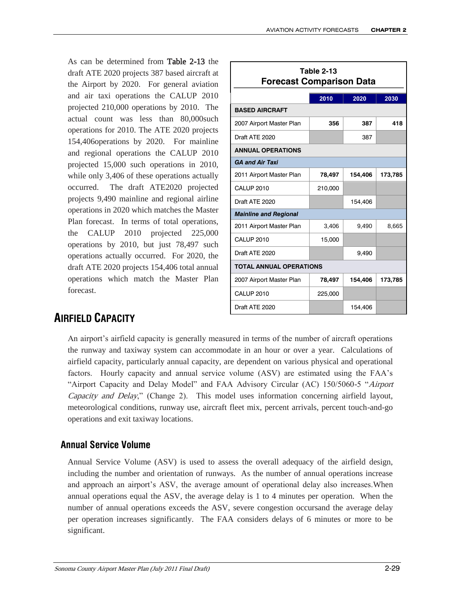As can be determined from Table 2-13 the draft ATE 2020 projects 387 based aircraft at the Airport by 2020. For general aviation and air taxi operations the CALUP 2010 projected 210,000 operations by 2010. The actual count was less than 80,000such operations for 2010. The ATE 2020 projects 154,406operations by 2020. For mainline and regional operations the CALUP 2010 projected 15,000 such operations in 2010, while only 3,406 of these operations actually occurred. The draft ATE2020 projected projects 9,490 mainline and regional airline operations in 2020 which matches the Master Plan forecast. In terms of total operations, the CALUP 2010 projected 225,000 operations by 2010, but just 78,497 such operations actually occurred. For 2020, the draft ATE 2020 projects 154,406 total annual operations which match the Master Plan forecast.

| Table 2-13<br><b>Forecast Comparison Data</b> |         |         |         |  |  |  |  |
|-----------------------------------------------|---------|---------|---------|--|--|--|--|
|                                               | 2010    | 2020    | 2030    |  |  |  |  |
| <b>BASED AIRCRAFT</b>                         |         |         |         |  |  |  |  |
| 2007 Airport Master Plan                      | 356     | 387     | 418     |  |  |  |  |
| Draft ATF 2020                                |         | 387     |         |  |  |  |  |
| <b>ANNUAL OPERATIONS</b>                      |         |         |         |  |  |  |  |
| <b>GA and Air Taxi</b>                        |         |         |         |  |  |  |  |
| 2011 Airport Master Plan                      | 78,497  | 154,406 | 173,785 |  |  |  |  |
| CALUP 2010                                    | 210,000 |         |         |  |  |  |  |
| Draft ATF 2020                                |         | 154,406 |         |  |  |  |  |
| <b>Mainline and Regional</b>                  |         |         |         |  |  |  |  |
| 2011 Airport Master Plan                      | 3,406   | 9,490   | 8,665   |  |  |  |  |
| CALUP 2010                                    | 15,000  |         |         |  |  |  |  |
| Draft ATE 2020                                |         | 9,490   |         |  |  |  |  |
| <b>TOTAL ANNUAL OPERATIONS</b>                |         |         |         |  |  |  |  |
| 2007 Airport Master Plan                      | 78,497  | 154,406 | 173,785 |  |  |  |  |
| <b>CALUP 2010</b>                             | 225,000 |         |         |  |  |  |  |
| Draft ATF 2020                                |         | 154,406 |         |  |  |  |  |

# **AIRFIELD CAPACITY**

An airport's airfield capacity is generally measured in terms of the number of aircraft operations the runway and taxiway system can accommodate in an hour or over a year. Calculations of airfield capacity, particularly annual capacity, are dependent on various physical and operational factors. Hourly capacity and annual service volume (ASV) are estimated using the FAA's "Airport Capacity and Delay Model" and FAA Advisory Circular (AC) 150/5060-5 "Airport Capacity and Delay," (Change 2). This model uses information concerning airfield layout, meteorological conditions, runway use, aircraft fleet mix, percent arrivals, percent touch-and-go operations and exit taxiway locations.

# **Annual Service Volume**

Annual Service Volume (ASV) is used to assess the overall adequacy of the airfield design, including the number and orientation of runways. As the number of annual operations increase and approach an airport's ASV, the average amount of operational delay also increases.When annual operations equal the ASV, the average delay is 1 to 4 minutes per operation. When the number of annual operations exceeds the ASV, severe congestion occursand the average delay per operation increases significantly. The FAA considers delays of 6 minutes or more to be significant.